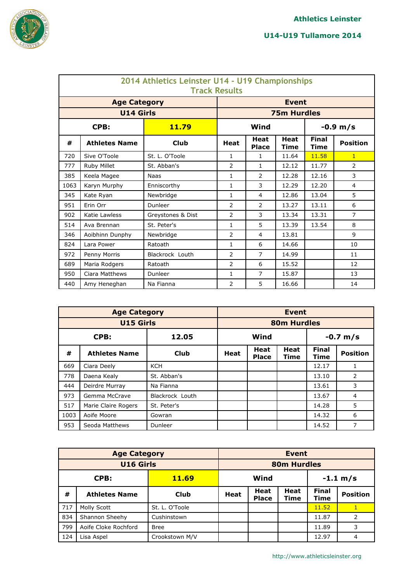

|      | 2014 Athletics Leinster U14 - U19 Championships<br><b>Track Results</b> |                   |                |                             |                            |                             |                 |  |  |  |  |  |
|------|-------------------------------------------------------------------------|-------------------|----------------|-----------------------------|----------------------------|-----------------------------|-----------------|--|--|--|--|--|
|      | <b>Age Category</b>                                                     |                   |                |                             | <b>Event</b>               |                             |                 |  |  |  |  |  |
|      | <b>U14 Girls</b>                                                        |                   |                |                             | <b>75m Hurdles</b>         |                             |                 |  |  |  |  |  |
|      | CPB:                                                                    | 11.79             |                | Wind                        |                            |                             | $-0.9 m/s$      |  |  |  |  |  |
| #    | <b>Athletes Name</b>                                                    | <b>Club</b>       | <b>Heat</b>    | <b>Heat</b><br><b>Place</b> | <b>Heat</b><br><b>Time</b> | <b>Final</b><br><b>Time</b> | <b>Position</b> |  |  |  |  |  |
| 720  | Sive O'Toole                                                            | St. L. O'Toole    | $\mathbf{1}$   | 1                           | 11.64                      | 11.58                       | $\mathbf{1}$    |  |  |  |  |  |
| 777  | Ruby Millet                                                             | St. Abban's       | $\overline{2}$ | $\mathbf{1}$                | 12.12                      | 11.77                       | 2               |  |  |  |  |  |
| 385  | Keela Magee                                                             | Naas              | $\mathbf{1}$   | $\mathcal{P}$               | 12.28                      | 12.16                       | 3               |  |  |  |  |  |
| 1063 | Karyn Murphy                                                            | Enniscorthy       | $\mathbf{1}$   | 3                           | 12.29                      | 12.20                       | 4               |  |  |  |  |  |
| 345  | Kate Ryan                                                               | Newbridge         | $\mathbf{1}$   | 4                           | 12.86                      | 13.04                       | 5               |  |  |  |  |  |
| 951  | Erin Orr                                                                | Dunleer           | $\overline{2}$ | $\mathcal{P}$               | 13.27                      | 13.11                       | 6               |  |  |  |  |  |
| 902  | Katie Lawless                                                           | Greystones & Dist | $\overline{2}$ | 3                           | 13.34                      | 13.31                       | $\overline{7}$  |  |  |  |  |  |
| 514  | Ava Brennan                                                             | St. Peter's       | $\mathbf{1}$   | 5                           | 13.39                      | 13.54                       | 8               |  |  |  |  |  |
| 346  | Aoibhinn Dunphy                                                         | Newbridge         | $\overline{2}$ | 4                           | 13.81                      |                             | 9               |  |  |  |  |  |
| 824  | Lara Power                                                              | Ratoath           | $\mathbf{1}$   | 6                           | 14.66                      |                             | 10              |  |  |  |  |  |
| 972  | Penny Morris                                                            | Blackrock Louth   | $\overline{2}$ | $\overline{7}$              | 14.99                      |                             | 11              |  |  |  |  |  |
| 689  | Maria Rodgers                                                           | Ratoath           | $\overline{2}$ | 6                           | 15.52                      |                             | 12              |  |  |  |  |  |
| 950  | Ciara Matthews                                                          | Dunleer           | $\mathbf{1}$   | 7                           | 15.87                      |                             | 13              |  |  |  |  |  |
| 440  | Amy Heneghan                                                            | Na Fianna         | $\overline{2}$ | 5                           | 16.66                      |                             | 14              |  |  |  |  |  |

|               | <b>Age Category</b>  | <b>Event</b>    |             |                      |                     |                      |                 |  |
|---------------|----------------------|-----------------|-------------|----------------------|---------------------|----------------------|-----------------|--|
|               | <b>U15 Girls</b>     |                 |             |                      | <b>80m Hurdles</b>  |                      |                 |  |
| CPB:<br>12.05 |                      |                 |             | Wind<br>$-0.7 m/s$   |                     |                      |                 |  |
| #             | <b>Athletes Name</b> | <b>Club</b>     | <b>Heat</b> | Heat<br><b>Place</b> | <b>Heat</b><br>Time | <b>Final</b><br>Time | <b>Position</b> |  |
| 669           | Ciara Deely          | <b>KCH</b>      |             |                      |                     | 12.17                |                 |  |
| 778           | Daena Kealy          | St. Abban's     |             |                      |                     | 13.10                | 2               |  |
| 444           | Deirdre Murray       | Na Fianna       |             |                      |                     | 13.61                | 3               |  |
| 973           | Gemma McCrave        | Blackrock Louth |             |                      |                     | 13.67                | 4               |  |
| 517           | Marie Claire Rogers  | St. Peter's     |             |                      |                     | 14.28                | 5               |  |
| 1003          | Aoife Moore          | Gowran          |             |                      |                     | 14.32                | 6               |  |
| 953           | Seoda Matthews       | Dunleer         |             |                      |                     | 14.52                | 7               |  |

|                      | <b>Age Category</b>  | <b>Event</b>   |                       |                             |                     |                      |                 |  |
|----------------------|----------------------|----------------|-----------------------|-----------------------------|---------------------|----------------------|-----------------|--|
| <b>U16 Girls</b>     |                      |                | <b>80m Hurdles</b>    |                             |                     |                      |                 |  |
| CPB:<br><b>11.69</b> |                      |                | Wind<br>$-1.1 \; m/s$ |                             |                     |                      |                 |  |
| #                    | <b>Athletes Name</b> | <b>Club</b>    | <b>Heat</b>           | <b>Heat</b><br><b>Place</b> | <b>Heat</b><br>Time | <b>Final</b><br>Time | <b>Position</b> |  |
| 717                  | Molly Scott          | St. L. O'Toole |                       |                             |                     | 11.52                | 1               |  |
| 834                  | Shannon Sheehy       | Cushinstown    |                       |                             |                     | 11.87                | $\overline{2}$  |  |
| 799                  | Aoife Cloke Rochford | <b>Bree</b>    |                       |                             |                     | 11.89                | 3               |  |
| 124                  | Lisa Aspel           | Crookstown M/V |                       |                             |                     | 12.97                | 4               |  |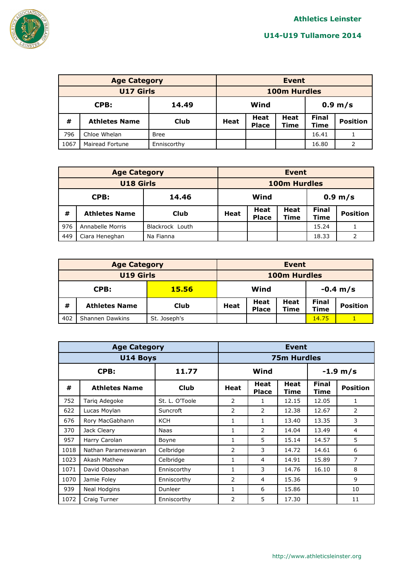

|                  | <b>Age Category</b>  | <b>Event</b> |                           |                      |                            |                      |                 |
|------------------|----------------------|--------------|---------------------------|----------------------|----------------------------|----------------------|-----------------|
| <b>U17 Girls</b> |                      |              | <b>100m Hurdles</b>       |                      |                            |                      |                 |
| CPB:<br>14.49    |                      |              | Wind<br>$0.9 \text{ m/s}$ |                      |                            |                      |                 |
| #                | <b>Athletes Name</b> | Club         | <b>Heat</b>               | Heat<br><b>Place</b> | <b>Heat</b><br><b>Time</b> | <b>Final</b><br>Time | <b>Position</b> |
| 796              | Chloe Whelan         | <b>Bree</b>  |                           |                      |                            | 16.41                |                 |
| 1067             | Mairead Fortune      | Enniscorthy  |                           |                      |                            | 16.80                |                 |

|                  | <b>Age Category</b>  | <b>Event</b>    |                           |                      |                            |                             |                 |
|------------------|----------------------|-----------------|---------------------------|----------------------|----------------------------|-----------------------------|-----------------|
| <b>U18 Girls</b> |                      |                 | <b>100m Hurdles</b>       |                      |                            |                             |                 |
| 14.46<br>CPB:    |                      |                 | Wind<br>$0.9 \text{ m/s}$ |                      |                            |                             |                 |
| #                | <b>Athletes Name</b> | <b>Club</b>     | Heat                      | Heat<br><b>Place</b> | <b>Heat</b><br><b>Time</b> | <b>Final</b><br><b>Time</b> | <b>Position</b> |
| 976              | Annabelle Morris     | Blackrock Louth |                           |                      |                            | 15.24                       |                 |
| 449              | Ciara Heneghan       | Na Fianna       |                           |                      |                            | 18.33                       |                 |

|                      | <b>Age Category</b>             | <b>Event</b> |                                                     |  |                                                |  |  |
|----------------------|---------------------------------|--------------|-----------------------------------------------------|--|------------------------------------------------|--|--|
| <b>U19 Girls</b>     |                                 |              | 100m Hurdles                                        |  |                                                |  |  |
| CPB:<br><b>15.56</b> |                                 |              | Wind<br>$-0.4 \; \mathrm{m/s}$                      |  |                                                |  |  |
| #                    | <b>Athletes Name</b>            | Club         | Heat<br>Heat<br><b>Heat</b><br><b>Place</b><br>Time |  | <b>Final</b><br><b>Position</b><br><b>Time</b> |  |  |
| 402                  | Shannen Dawkins<br>St. Joseph's |              |                                                     |  | 14.75                                          |  |  |

|               | <b>Age Category</b>  | <b>Event</b>       |                |                      |                     |                      |                 |
|---------------|----------------------|--------------------|----------------|----------------------|---------------------|----------------------|-----------------|
|               | <b>U14 Boys</b>      | <b>75m Hurdles</b> |                |                      |                     |                      |                 |
| CPB:<br>11.77 |                      |                    |                | Wind                 |                     | $-1.9 m/s$           |                 |
| #             | <b>Athletes Name</b> | <b>Club</b>        | <b>Heat</b>    | Heat<br><b>Place</b> | <b>Heat</b><br>Time | <b>Final</b><br>Time | <b>Position</b> |
| 752           | Tariq Adegoke        | St. L. O'Toole     | 2              | 1                    | 12.15               | 12.05                | 1               |
| 622           | Lucas Moylan         | Suncroft           | 2              | 2                    | 12.38               | 12.67                | 2               |
| 676           | Rory MacGabhann      | <b>KCH</b>         | 1              | 1                    | 13.40               | 13.35                | 3               |
| 370           | Jack Cleary          | Naas               | 1              | 2                    | 14.04               | 13.49                | 4               |
| 957           | Harry Carolan        | Boyne              | 1              | 5                    | 15.14               | 14.57                | 5               |
| 1018          | Nathan Parameswaran  | Celbridge          | 2              | 3                    | 14.72               | 14.61                | 6               |
| 1023          | Akash Mathew         | Celbridge          | 1              | 4                    | 14.91               | 15.89                | 7               |
| 1071          | David Obasohan       | Enniscorthy        | 1              | 3                    | 14.76               | 16.10                | 8               |
| 1070          | Jamie Foley          | Enniscorthy        | $\overline{2}$ | 4                    | 15.36               |                      | 9               |
| 939           | Neal Hodgins         | Dunleer            | $\mathbf{1}$   | 6                    | 15.86               |                      | 10              |
| 1072          | Craig Turner         | Enniscorthy        | 2              | 5                    | 17.30               |                      | 11              |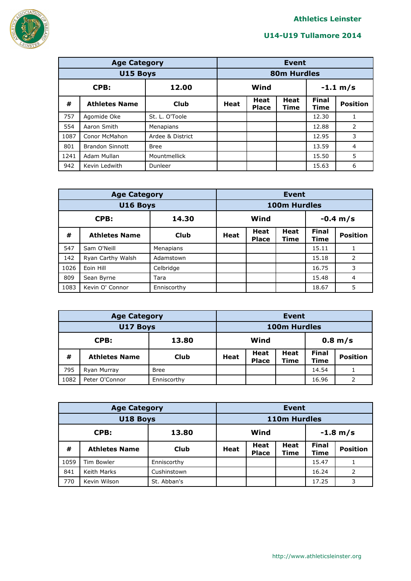

|               | <b>Age Category</b>    |                  |                    | <b>Event</b>                |                            |                      |                 |  |  |
|---------------|------------------------|------------------|--------------------|-----------------------------|----------------------------|----------------------|-----------------|--|--|
|               | U15 Boys               |                  |                    |                             | <b>80m Hurdles</b>         |                      |                 |  |  |
| CPB:<br>12.00 |                        |                  | $-1.1 m/s$<br>Wind |                             |                            |                      |                 |  |  |
| #             | <b>Athletes Name</b>   | Club             | Heat               | <b>Heat</b><br><b>Place</b> | <b>Heat</b><br><b>Time</b> | <b>Final</b><br>Time | <b>Position</b> |  |  |
| 757           | Agomide Oke            | St. L. O'Toole   |                    |                             |                            | 12.30                |                 |  |  |
| 554           | Aaron Smith            | Menapians        |                    |                             |                            | 12.88                | 2               |  |  |
| 1087          | Conor McMahon          | Ardee & District |                    |                             |                            | 12.95                | 3               |  |  |
| 801           | <b>Brandon Sinnott</b> | <b>Bree</b>      |                    |                             |                            | 13.59                | 4               |  |  |
| 1241          | Adam Mullan            | Mountmellick     |                    |                             |                            | 15.50                | 5               |  |  |
| 942           | Kevin Ledwith          | Dunleer          |                    |                             |                            | 15.63                | 6               |  |  |

|               | <b>Age Category</b>  | <b>Event</b> |                       |                      |              |                      |                 |
|---------------|----------------------|--------------|-----------------------|----------------------|--------------|----------------------|-----------------|
| U16 Boys      |                      |              |                       |                      | 100m Hurdles |                      |                 |
| CPB:<br>14.30 |                      |              | Wind<br>$-0.4 \; m/s$ |                      |              |                      |                 |
| #             | <b>Athletes Name</b> | <b>Club</b>  | <b>Heat</b>           | Heat<br><b>Place</b> | Heat<br>Time | <b>Final</b><br>Time | <b>Position</b> |
| 547           | Sam O'Neill          | Menapians    |                       |                      |              | 15.11                |                 |
| 142           | Ryan Carthy Walsh    | Adamstown    |                       |                      |              | 15.18                | 2               |
| 1026          | Eoin Hill            | Celbridge    |                       |                      |              | 16.75                | 3               |
| 809           | Sean Byrne           | Tara         |                       |                      |              | 15.48                | 4               |
| 1083          | Kevin O' Connor      | Enniscorthy  |                       |                      |              | 18.67                | 5               |

|               | <b>Age Category</b>  | <b>Event</b> |                   |                      |                     |                      |                 |
|---------------|----------------------|--------------|-------------------|----------------------|---------------------|----------------------|-----------------|
| U17 Boys      |                      |              | 100m Hurdles      |                      |                     |                      |                 |
| CPB:<br>13.80 |                      |              | Wind<br>$0.8$ m/s |                      |                     |                      |                 |
| #             | <b>Athletes Name</b> | Club         | <b>Heat</b>       | Heat<br><b>Place</b> | <b>Heat</b><br>Time | <b>Final</b><br>Time | <b>Position</b> |
| 795           | Ryan Murray          | <b>Bree</b>  |                   |                      |                     | 14.54                |                 |
| 1082          | Peter O'Connor       | Enniscorthy  |                   |                      |                     | 16.96                |                 |

| <b>Age Category</b> |                      |             | <b>Event</b>       |                             |                     |                      |                 |
|---------------------|----------------------|-------------|--------------------|-----------------------------|---------------------|----------------------|-----------------|
| U18 Boys            |                      |             | 110m Hurdles       |                             |                     |                      |                 |
| CPB:<br>13.80       |                      |             | Wind<br>$-1.8 m/s$ |                             |                     |                      |                 |
| #                   | <b>Athletes Name</b> | Club        | <b>Heat</b>        | <b>Heat</b><br><b>Place</b> | <b>Heat</b><br>Time | <b>Final</b><br>Time | <b>Position</b> |
| 1059                | Tim Bowler           | Enniscorthy |                    |                             |                     | 15.47                |                 |
| 841                 | Keith Marks          | Cushinstown |                    |                             |                     | 16.24                | 2               |
| 770                 | Kevin Wilson         | St. Abban's |                    |                             |                     | 17.25                | 3               |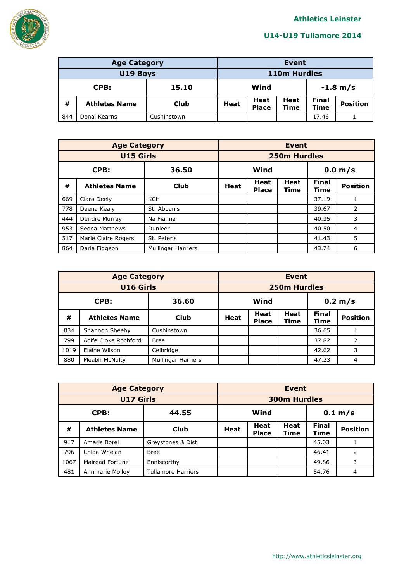

|               | <b>Age Category</b>  | Event       |                       |                                             |  |       |                 |
|---------------|----------------------|-------------|-----------------------|---------------------------------------------|--|-------|-----------------|
| U19 Boys      |                      |             |                       | 110m Hurdles                                |  |       |                 |
| CPB:<br>15.10 |                      |             | Wind<br>$-1.8 \; m/s$ |                                             |  |       |                 |
| #             | <b>Athletes Name</b> | <b>Club</b> | <b>Heat</b>           | Heat<br>Heat<br><b>Place</b><br><b>Time</b> |  |       | <b>Position</b> |
| 844           | Donal Kearns         | Cushinstown |                       |                                             |  | 17.46 |                 |

|               | <b>Age Category</b>  |                           | <b>Event</b> |                             |                     |                      |                 |  |
|---------------|----------------------|---------------------------|--------------|-----------------------------|---------------------|----------------------|-----------------|--|
|               | <b>U15 Girls</b>     |                           |              |                             | <b>250m Hurdles</b> |                      |                 |  |
| CPB:<br>36.50 |                      |                           |              | Wind<br>0.0 m/s             |                     |                      |                 |  |
| #             | <b>Athletes Name</b> | <b>Club</b>               | <b>Heat</b>  | <b>Heat</b><br><b>Place</b> | <b>Heat</b><br>Time | <b>Final</b><br>Time | <b>Position</b> |  |
| 669           | Ciara Deely          | <b>KCH</b>                |              |                             |                     | 37.19                |                 |  |
| 778           | Daena Kealy          | St. Abban's               |              |                             |                     | 39.67                | 2               |  |
| 444           | Deirdre Murray       | Na Fianna                 |              |                             |                     | 40.35                | 3               |  |
| 953           | Seoda Matthews       | Dunleer                   |              |                             |                     | 40.50                | 4               |  |
| 517           | Marie Claire Rogers  | St. Peter's               |              |                             |                     | 41.43                | 5               |  |
| 864           | Daria Fidgeon        | <b>Mullingar Harriers</b> |              |                             |                     | 43.74                | 6               |  |

|                  | <b>Age Category</b>  |                           |                 | <b>Event</b>                |                     |                      |                 |  |  |
|------------------|----------------------|---------------------------|-----------------|-----------------------------|---------------------|----------------------|-----------------|--|--|
| <b>U16 Girls</b> |                      |                           |                 |                             | <b>250m Hurdles</b> |                      |                 |  |  |
| CPB:<br>36.60    |                      |                           | 0.2 m/s<br>Wind |                             |                     |                      |                 |  |  |
| #                | <b>Athletes Name</b> | <b>Club</b>               | <b>Heat</b>     | <b>Heat</b><br><b>Place</b> | Heat<br>Time        | <b>Final</b><br>Time | <b>Position</b> |  |  |
| 834              | Shannon Sheehy       | Cushinstown               |                 |                             |                     | 36.65                |                 |  |  |
| 799              | Aoife Cloke Rochford | <b>Bree</b>               |                 |                             |                     | 37.82                | 2               |  |  |
| 1019             | Elaine Wilson        | Celbridge                 |                 |                             |                     | 42.62                | 3               |  |  |
| 880              | Meabh McNulty        | <b>Mullingar Harriers</b> |                 |                             |                     | 47.23                | 4               |  |  |

|                  | <b>Age Category</b>  |                           |                           | <b>Event</b>                |                     |                      |                 |  |  |
|------------------|----------------------|---------------------------|---------------------------|-----------------------------|---------------------|----------------------|-----------------|--|--|
| <b>U17 Girls</b> |                      |                           |                           |                             | <b>300m Hurdles</b> |                      |                 |  |  |
| 44.55<br>CPB:    |                      |                           | Wind<br>$0.1 \text{ m/s}$ |                             |                     |                      |                 |  |  |
| #                | <b>Athletes Name</b> | <b>Club</b>               | <b>Heat</b>               | <b>Heat</b><br><b>Place</b> | <b>Heat</b><br>Time | <b>Final</b><br>Time | <b>Position</b> |  |  |
| 917              | Amaris Borel         | Greystones & Dist         |                           |                             |                     | 45.03                |                 |  |  |
| 796              | Chloe Whelan         | <b>Bree</b>               |                           |                             |                     | 46.41                | 2               |  |  |
| 1067             | Mairead Fortune      | Enniscorthy               |                           |                             |                     | 49.86                | 3               |  |  |
| 481              | Annmarie Molloy      | <b>Tullamore Harriers</b> |                           |                             |                     | 54.76                |                 |  |  |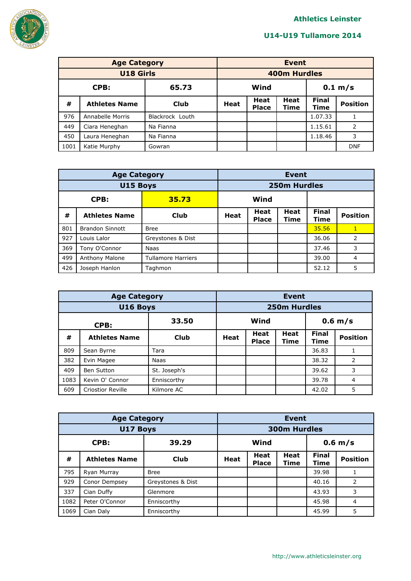

|                  | <b>Age Category</b>  | <b>Event</b>    |                 |                             |                     |                      |                 |
|------------------|----------------------|-----------------|-----------------|-----------------------------|---------------------|----------------------|-----------------|
| <b>U18 Girls</b> |                      |                 |                 |                             | <b>400m Hurdles</b> |                      |                 |
| CPB:<br>65.73    |                      |                 | Wind<br>0.1 m/s |                             |                     |                      |                 |
| #                | <b>Athletes Name</b> | Club            | Heat            | <b>Heat</b><br><b>Place</b> | <b>Heat</b><br>Time | <b>Final</b><br>Time | <b>Position</b> |
| 976              | Annabelle Morris     | Blackrock Louth |                 |                             |                     | 1.07.33              |                 |
| 449              | Ciara Heneghan       | Na Fianna       |                 |                             |                     | 1.15.61              | 2               |
| 450              | Laura Heneghan       | Na Fianna       |                 |                             |                     | 1.18.46              | 3               |
| 1001             | Katie Murphy         | Gowran          |                 |                             |                     |                      | <b>DNF</b>      |

|               | <b>Age Category</b>    |                           |             | <b>Event</b>                |              |                      |                 |  |  |
|---------------|------------------------|---------------------------|-------------|-----------------------------|--------------|----------------------|-----------------|--|--|
|               | U15 Boys               |                           |             |                             | 250m Hurdles |                      |                 |  |  |
| CPB:<br>35.73 |                        |                           | Wind        |                             |              |                      |                 |  |  |
| #             | <b>Athletes Name</b>   | <b>Club</b>               | <b>Heat</b> | <b>Heat</b><br><b>Place</b> | Heat<br>Time | <b>Final</b><br>Time | <b>Position</b> |  |  |
| 801           | <b>Brandon Sinnott</b> | <b>Bree</b>               |             |                             |              | 35.56                | 1               |  |  |
| 927           | Louis Lalor            | Greystones & Dist         |             |                             |              | 36.06                | 2               |  |  |
| 369           | Tony O'Connor          | Naas                      |             |                             |              | 37.46                | 3               |  |  |
| 499           | Anthony Malone         | <b>Tullamore Harriers</b> |             |                             |              | 39.00                | 4               |  |  |
| 426           | Joseph Hanlon          | Taghmon                   |             |                             |              | 52.12                | 5               |  |  |

|      | <b>Age Category</b>      |              |      | <b>Event</b>                |                     |                      |                 |  |  |
|------|--------------------------|--------------|------|-----------------------------|---------------------|----------------------|-----------------|--|--|
|      | U16 Boys                 |              |      |                             | <b>250m Hurdles</b> |                      |                 |  |  |
|      | 33.50<br>CPB:            |              |      | Wind<br>$0.6$ m/s           |                     |                      |                 |  |  |
| #    | <b>Athletes Name</b>     | <b>Club</b>  | Heat | <b>Heat</b><br><b>Place</b> | Heat<br>Time        | <b>Final</b><br>Time | <b>Position</b> |  |  |
| 809  | Sean Byrne               | Tara         |      |                             |                     | 36.83                |                 |  |  |
| 382  | Evin Magee               | <b>Naas</b>  |      |                             |                     | 38.32                | 2               |  |  |
| 409  | <b>Ben Sutton</b>        | St. Joseph's |      |                             |                     | 39.62                | 3               |  |  |
| 1083 | Kevin O' Connor          | Enniscorthy  |      |                             |                     | 39.78                | $\overline{4}$  |  |  |
| 609  | <b>Criostior Reville</b> | Kilmore AC   |      |                             |                     | 42.02                | 5               |  |  |

|               | <b>Age Category</b>  |                   |             | <b>Event</b>                |                     |                      |                 |  |  |
|---------------|----------------------|-------------------|-------------|-----------------------------|---------------------|----------------------|-----------------|--|--|
|               | U17 Boys             |                   |             |                             | <b>300m Hurdles</b> |                      |                 |  |  |
| CPB:<br>39.29 |                      | Wind              |             |                             | $0.6$ m/s           |                      |                 |  |  |
| #             | <b>Athletes Name</b> | <b>Club</b>       | <b>Heat</b> | <b>Heat</b><br><b>Place</b> | <b>Heat</b><br>Time | <b>Final</b><br>Time | <b>Position</b> |  |  |
| 795           | Ryan Murray          | <b>Bree</b>       |             |                             |                     | 39.98                | 1               |  |  |
| 929           | Conor Dempsey        | Greystones & Dist |             |                             |                     | 40.16                | 2               |  |  |
| 337           | Cian Duffy           | Glenmore          |             |                             |                     | 43.93                | 3               |  |  |
| 1082          | Peter O'Connor       | Enniscorthy       |             |                             |                     | 45.98                | 4               |  |  |
| 1069          | Cian Daly            | Enniscorthy       |             |                             |                     | 45.99                | 5               |  |  |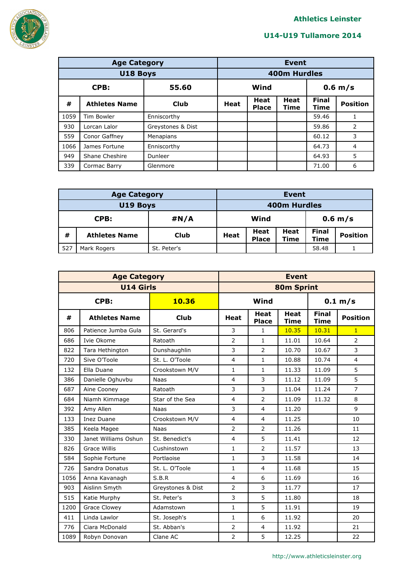

|               | <b>Age Category</b>  |                   |                   | <b>Event</b>                |                     |                      |                 |  |  |
|---------------|----------------------|-------------------|-------------------|-----------------------------|---------------------|----------------------|-----------------|--|--|
|               | U18 Boys             |                   |                   |                             | <b>400m Hurdles</b> |                      |                 |  |  |
| 55.60<br>CPB: |                      |                   | Wind<br>$0.6$ m/s |                             |                     |                      |                 |  |  |
| #             | <b>Athletes Name</b> | Club              | <b>Heat</b>       | <b>Heat</b><br><b>Place</b> | <b>Heat</b><br>Time | <b>Final</b><br>Time | <b>Position</b> |  |  |
| 1059          | Tim Bowler           | Enniscorthy       |                   |                             |                     | 59.46                |                 |  |  |
| 930           | Lorcan Lalor         | Greystones & Dist |                   |                             |                     | 59.86                | $\overline{2}$  |  |  |
| 559           | Conor Gaffney        | Menapians         |                   |                             |                     | 60.12                | 3               |  |  |
| 1066          | James Fortune        | Enniscorthy       |                   |                             |                     | 64.73                | 4               |  |  |
| 949           | Shane Cheshire       | Dunleer           |                   |                             |                     | 64.93                | 5               |  |  |
| 339           | Cormac Barry         | Glenmore          |                   |                             |                     | 71.00                | 6               |  |  |

|              | <b>Age Category</b>        | <b>Event</b> |                     |                      |                     |                      |                 |
|--------------|----------------------------|--------------|---------------------|----------------------|---------------------|----------------------|-----------------|
| U19 Boys     |                            |              | <b>400m Hurdles</b> |                      |                     |                      |                 |
| #N/A<br>CPB: |                            |              | Wind<br>$0.6$ m/s   |                      |                     |                      |                 |
| #            | <b>Athletes Name</b>       | <b>Club</b>  | Heat                | Heat<br><b>Place</b> | Heat<br><b>Time</b> | <b>Final</b><br>Time | <b>Position</b> |
| 527          | St. Peter's<br>Mark Rogers |              |                     |                      |                     | 58.48                |                 |

|      | <b>Age Category</b>  |                   | <b>Event</b>   |                             |                            |                             |                 |  |
|------|----------------------|-------------------|----------------|-----------------------------|----------------------------|-----------------------------|-----------------|--|
|      | <b>U14 Girls</b>     |                   |                |                             | <b>80m Sprint</b>          |                             |                 |  |
|      | CPB:                 | 10.36             | Wind           |                             |                            | 0.1 m/s                     |                 |  |
| #    | <b>Athletes Name</b> | <b>Club</b>       | <b>Heat</b>    | <b>Heat</b><br><b>Place</b> | <b>Heat</b><br><b>Time</b> | <b>Final</b><br><b>Time</b> | <b>Position</b> |  |
| 806  | Patience Jumba Gula  | St. Gerard's      | 3              | $\mathbf{1}$                | 10.35                      | 10.31                       | $\mathbf{1}$    |  |
| 686  | Ivie Okome           | Ratoath           | $\overline{2}$ | $\mathbf{1}$                | 11.01                      | 10.64                       | $\overline{2}$  |  |
| 822  | Tara Hethington      | Dunshaughlin      | 3              | $\overline{2}$              | 10.70                      | 10.67                       | 3               |  |
| 720  | Sive O'Toole         | St. L. O'Toole    | $\overline{4}$ | $\mathbf{1}$                | 10.88                      | 10.74                       | $\overline{4}$  |  |
| 132  | Ella Duane           | Crookstown M/V    | $\mathbf{1}$   | $\mathbf{1}$                | 11.33                      | 11.09                       | 5               |  |
| 386  | Danielle Oghuvbu     | <b>Naas</b>       | $\overline{4}$ | 3                           | 11.12                      | 11.09                       | 5               |  |
| 687  | Aine Cooney          | Ratoath           | 3              | 3                           | 11.04                      | 11.24                       | $\overline{7}$  |  |
| 684  | Niamh Kimmage        | Star of the Sea   | 4              | $\overline{2}$              | 11.09                      | 11.32                       | 8               |  |
| 392  | Amy Allen            | <b>Naas</b>       | 3              | $\overline{4}$              | 11.20                      |                             | 9               |  |
| 133  | <b>Inez Duane</b>    | Crookstown M/V    | $\overline{4}$ | $\overline{4}$              | 11.25                      |                             | 10              |  |
| 385  | Keela Magee          | <b>Naas</b>       | $\overline{2}$ | $\overline{2}$              | 11.26                      |                             | 11              |  |
| 330  | Janet Williams Oshun | St. Benedict's    | $\overline{4}$ | 5                           | 11.41                      |                             | 12              |  |
| 826  | <b>Grace Willis</b>  | Cushinstown       | $\mathbf{1}$   | 2                           | 11.57                      |                             | 13              |  |
| 584  | Sophie Fortune       | Portlaoise        | $\mathbf{1}$   | 3                           | 11.58                      |                             | 14              |  |
| 726  | Sandra Donatus       | St. L. O'Toole    | $\mathbf{1}$   | $\overline{4}$              | 11.68                      |                             | 15              |  |
| 1056 | Anna Kavanagh        | S.B.R             | $\overline{4}$ | 6                           | 11.69                      |                             | 16              |  |
| 903  | Aislinn Smyth        | Greystones & Dist | $\overline{2}$ | 3                           | 11.77                      |                             | 17              |  |
| 515  | Katie Murphy         | St. Peter's       | 3              | 5                           | 11.80                      |                             | 18              |  |
| 1200 | <b>Grace Clowey</b>  | Adamstown         | $\mathbf{1}$   | 5                           | 11.91                      |                             | 19              |  |
| 411  | Linda Lawlor         | St. Joseph's      | 1              | 6                           | 11.92                      |                             | 20              |  |
| 776  | Ciara McDonald       | St. Abban's       | $\overline{2}$ | 4                           | 11.92                      |                             | 21              |  |
| 1089 | Robyn Donovan        | Clane AC          | $\overline{2}$ | 5                           | 12.25                      |                             | 22              |  |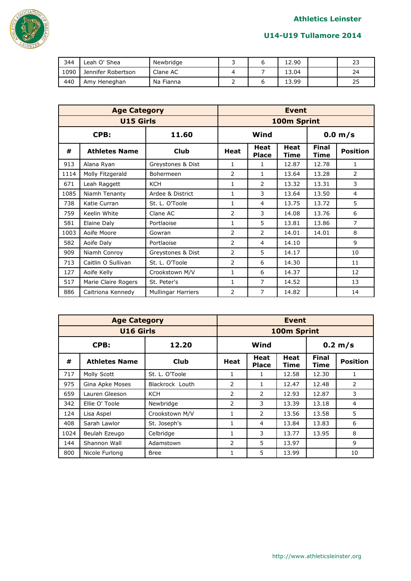

| 344  | Leah O' Shea       | Newbridge |  | 12.90 | າເ<br><u>_</u> |
|------|--------------------|-----------|--|-------|----------------|
| 1090 | Jennifer Robertson | Clane AC  |  | 13.04 | 24             |
| 440  | Amy Heneghan       | Na Fianna |  | 13.99 | 25             |

|      | <b>Age Category</b>  |                           | <b>Event</b>   |                      |                     |                      |                 |  |
|------|----------------------|---------------------------|----------------|----------------------|---------------------|----------------------|-----------------|--|
|      | <b>U15 Girls</b>     | 100m Sprint               |                |                      |                     |                      |                 |  |
| CPB: |                      | 11.60                     |                | Wind                 |                     | 0.0 m/s              |                 |  |
| #    | <b>Athletes Name</b> | <b>Club</b>               | <b>Heat</b>    | Heat<br><b>Place</b> | <b>Heat</b><br>Time | <b>Final</b><br>Time | <b>Position</b> |  |
| 913  | Alana Ryan           | Greystones & Dist         | 1              | 1                    | 12.87               | 12.78                | 1               |  |
| 1114 | Molly Fitzgerald     | Bohermeen                 | $\overline{2}$ | 1                    | 13.64               | 13.28                | $\overline{2}$  |  |
| 671  | Leah Raggett         | <b>KCH</b>                | $\mathbf{1}$   | 2                    | 13.32               | 13.31                | 3               |  |
| 1085 | Niamh Tenanty        | Ardee & District          | $\mathbf{1}$   | 3                    | 13.64               | 13.50                | 4               |  |
| 738  | Katie Curran         | St. L. O'Toole            | $\mathbf{1}$   | 4                    | 13.75               | 13.72                | 5               |  |
| 759  | Keelin White         | Clane AC                  | 2              | 3                    | 14.08               | 13.76                | 6               |  |
| 581  | Elaine Daly          | Portlaoise                | 1              | 5                    | 13.81               | 13.86                | $\overline{7}$  |  |
| 1003 | Aoife Moore          | Gowran                    | $\mathcal{P}$  | $\mathcal{P}$        | 14.01               | 14.01                | 8               |  |
| 582  | Aoife Daly           | Portlaoise                | $\overline{2}$ | 4                    | 14.10               |                      | 9               |  |
| 909  | Niamh Conroy         | Greystones & Dist         | 2              | 5                    | 14.17               |                      | 10              |  |
| 713  | Caitlin O Sullivan   | St. L. O'Toole            | $\overline{2}$ | 6                    | 14.30               |                      | 11              |  |
| 127  | Aoife Kelly          | Crookstown M/V            | $\mathbf{1}$   | 6                    | 14.37               |                      | 12              |  |
| 517  | Marie Claire Rogers  | St. Peter's               | 1              | 7                    | 14.52               |                      | 13              |  |
| 886  | Caitriona Kennedy    | <b>Mullingar Harriers</b> | 2              | 7                    | 14.82               |                      | 14              |  |

|      | <b>Age Category</b>  | <b>Event</b>    |                |                      |              |                      |                 |  |
|------|----------------------|-----------------|----------------|----------------------|--------------|----------------------|-----------------|--|
|      | <b>U16 Girls</b>     | 100m Sprint     |                |                      |              |                      |                 |  |
|      | CPB:                 | 12.20           |                | Wind<br>0.2 m/s      |              |                      |                 |  |
| #    | <b>Athletes Name</b> | Club            | Heat           | Heat<br><b>Place</b> | Heat<br>Time | <b>Final</b><br>Time | <b>Position</b> |  |
| 717  | Molly Scott          | St. L. O'Toole  |                | 1                    | 12.58        | 12.30                | 1               |  |
| 975  | Gina Apke Moses      | Blackrock Louth | 2              | 1                    | 12.47        | 12.48                | 2               |  |
| 659  | Lauren Gleeson       | <b>KCH</b>      | 2              | 2                    | 12.93        | 12.87                | 3               |  |
| 342  | Ellie O' Toole       | Newbridge       | $\mathcal{P}$  | 3                    | 13.39        | 13.18                | $\overline{4}$  |  |
| 124  | Lisa Aspel           | Crookstown M/V  | 1              | 2                    | 13.56        | 13.58                | 5               |  |
| 408  | Sarah Lawlor         | St. Joseph's    |                | 4                    | 13.84        | 13.83                | 6               |  |
| 1024 | Beulah Ezeugo        | Celbridge       | 1              | 3                    | 13.77        | 13.95                | 8               |  |
| 144  | Shannon Wall         | Adamstown       | $\overline{2}$ | 5                    | 13.97        |                      | 9               |  |
| 800  | Nicole Furlong       | Bree            |                | 5                    | 13.99        |                      | 10              |  |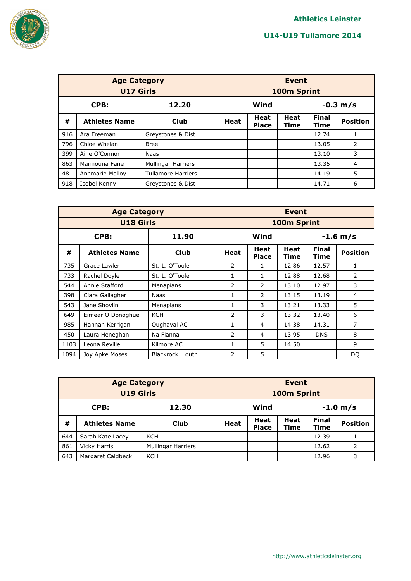

|               | <b>Age Category</b>  | <b>Event</b>              |                    |                             |                            |                      |                 |
|---------------|----------------------|---------------------------|--------------------|-----------------------------|----------------------------|----------------------|-----------------|
|               | <b>U17 Girls</b>     |                           |                    |                             | 100m Sprint                |                      |                 |
| 12.20<br>CPB: |                      |                           | Wind<br>$-0.3 m/s$ |                             |                            |                      |                 |
| #             | <b>Athletes Name</b> | <b>Club</b>               | <b>Heat</b>        | <b>Heat</b><br><b>Place</b> | <b>Heat</b><br><b>Time</b> | <b>Final</b><br>Time | <b>Position</b> |
| 916           | Ara Freeman          | Greystones & Dist         |                    |                             |                            | 12.74                | 1               |
| 796           | Chloe Whelan         | <b>Bree</b>               |                    |                             |                            | 13.05                | 2               |
| 399           | Aine O'Connor        | <b>Naas</b>               |                    |                             |                            | 13.10                | 3               |
| 863           | Maimouna Fane        | <b>Mullingar Harriers</b> |                    |                             |                            | 13.35                | 4               |
| 481           | Annmarie Molloy      | <b>Tullamore Harriers</b> |                    |                             |                            | 14.19                | 5               |
| 918           | Isobel Kenny         | Greystones & Dist         |                    |                             |                            | 14.71                | 6               |

|               | <b>Age Category</b>  | <b>Event</b>    |                    |               |              |                      |                 |
|---------------|----------------------|-----------------|--------------------|---------------|--------------|----------------------|-----------------|
|               | <b>U18 Girls</b>     | 100m Sprint     |                    |               |              |                      |                 |
| CPB:<br>11.90 |                      |                 | Wind<br>$-1.6$ m/s |               |              |                      |                 |
| #             | <b>Athletes Name</b> | <b>Club</b>     | <b>Heat</b>        | Heat<br>Place | Heat<br>Time | <b>Final</b><br>Time | <b>Position</b> |
| 735           | Grace Lawler         | St. L. O'Toole  | 2                  | 1             | 12.86        | 12.57                | 1               |
| 733           | Rachel Doyle         | St. L. O'Toole  | 1                  | 1             | 12.88        | 12.68                | 2               |
| 544           | Annie Stafford       | Menapians       | $\mathcal{P}$      | $\mathcal{P}$ | 13.10        | 12.97                | 3               |
| 398           | Ciara Gallagher      | Naas            | 1                  | 2             | 13.15        | 13.19                | 4               |
| 543           | Jane Shovlin         | Menapians       | 1                  | 3             | 13.21        | 13.33                | 5               |
| 649           | Eimear O Donoghue    | <b>KCH</b>      | 2                  | 3             | 13.32        | 13.40                | 6               |
| 985           | Hannah Kerrigan      | Oughaval AC     | 1                  | 4             | 14.38        | 14.31                | 7               |
| 450           | Laura Heneghan       | Na Fianna       | $\mathcal{P}$      | 4             | 13.95        | <b>DNS</b>           | 8               |
| 1103          | Leona Reville        | Kilmore AC      | 1                  | 5             | 14.50        |                      | 9               |
| 1094          | Joy Apke Moses       | Blackrock Louth | $\overline{2}$     | 5             |              |                      | DQ              |

|                  | <b>Age Category</b>  |                    |                    | <b>Event</b>                |                     |                             |                 |  |  |
|------------------|----------------------|--------------------|--------------------|-----------------------------|---------------------|-----------------------------|-----------------|--|--|
| <b>U19 Girls</b> |                      |                    |                    |                             | 100m Sprint         |                             |                 |  |  |
| 12.30<br>CPB:    |                      |                    | Wind<br>$-1.0 m/s$ |                             |                     |                             |                 |  |  |
| #                | <b>Athletes Name</b> | Club               | <b>Heat</b>        | <b>Heat</b><br><b>Place</b> | <b>Heat</b><br>Time | <b>Final</b><br><b>Time</b> | <b>Position</b> |  |  |
| 644              | Sarah Kate Lacey     | <b>KCH</b>         |                    |                             |                     | 12.39                       |                 |  |  |
| 861              | Vicky Harris         | Mullingar Harriers |                    |                             |                     | 12.62                       | 2               |  |  |
| 643              | Margaret Caldbeck    | <b>KCH</b>         |                    |                             |                     | 12.96                       | 3               |  |  |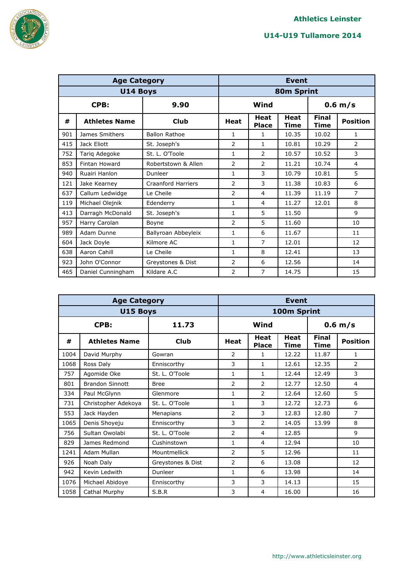

|     | <b>Age Category</b>  |                           |                |                             | <b>Event</b>        |                      |                 |  |
|-----|----------------------|---------------------------|----------------|-----------------------------|---------------------|----------------------|-----------------|--|
|     | <b>U14 Boys</b>      | 80m Sprint                |                |                             |                     |                      |                 |  |
|     | CPB:                 | 9.90                      |                | Wind                        |                     |                      | $0.6$ m/s       |  |
| #   | <b>Athletes Name</b> | <b>Club</b>               | <b>Heat</b>    | <b>Heat</b><br><b>Place</b> | <b>Heat</b><br>Time | <b>Final</b><br>Time | <b>Position</b> |  |
| 901 | James Smithers       | <b>Ballon Rathoe</b>      | 1              | 1                           | 10.35               | 10.02                | 1               |  |
| 415 | Jack Eliott          | St. Joseph's              | $\overline{2}$ | 1                           | 10.81               | 10.29                | $\overline{2}$  |  |
| 752 | Tariq Adegoke        | St. L. O'Toole            | 1              | $\overline{2}$              | 10.57               | 10.52                | 3               |  |
| 853 | Fintan Howard        | Robertstown & Allen       | $\overline{2}$ | 2                           | 11.21               | 10.74                | $\overline{4}$  |  |
| 940 | Ruairi Hanlon        | Dunleer                   | $\mathbf{1}$   | 3                           | 10.79               | 10.81                | 5               |  |
| 121 | Jake Kearney         | <b>Craanford Harriers</b> | $\overline{2}$ | 3                           | 11.38               | 10.83                | 6               |  |
| 637 | Callum Ledwidge      | Le Cheile                 | $\overline{2}$ | 4                           | 11.39               | 11.19                | 7               |  |
| 119 | Michael Olejnik      | Edenderry                 | 1              | 4                           | 11.27               | 12.01                | 8               |  |
| 413 | Darragh McDonald     | St. Joseph's              | 1              | 5                           | 11.50               |                      | 9               |  |
| 957 | Harry Carolan        | Boyne                     | $\overline{2}$ | 5                           | 11.60               |                      | 10              |  |
| 989 | Adam Dunne           | Ballyroan Abbeyleix       | $\mathbf{1}$   | 6                           | 11.67               |                      | 11              |  |
| 604 | Jack Doyle           | Kilmore AC                | $\mathbf{1}$   | 7                           | 12.01               |                      | 12              |  |
| 638 | Aaron Cahill         | Le Cheile                 | 1              | 8                           | 12.41               |                      | 13              |  |
| 923 | John O'Connor        | Greystones & Dist         | 2              | 6                           | 12.56               |                      | 14              |  |
| 465 | Daniel Cunningham    | Kildare A.C               | $\overline{2}$ | 7                           | 14.75               |                      | 15              |  |

|      | <b>Age Category</b>    |                   |                | <b>Event</b>                |                            |                             |                 |  |  |
|------|------------------------|-------------------|----------------|-----------------------------|----------------------------|-----------------------------|-----------------|--|--|
|      | U15 Boys               |                   | 100m Sprint    |                             |                            |                             |                 |  |  |
| CPB: |                        | 11.73             |                | Wind                        |                            | $0.6$ m/s                   |                 |  |  |
| #    | <b>Athletes Name</b>   | <b>Club</b>       | <b>Heat</b>    | <b>Heat</b><br><b>Place</b> | <b>Heat</b><br><b>Time</b> | <b>Final</b><br><b>Time</b> | <b>Position</b> |  |  |
| 1004 | David Murphy           | Gowran            | 2              | 1                           | 12.22                      | 11.87                       | 1               |  |  |
| 1068 | Ross Daly              | Enniscorthy       | 3              | 1                           | 12.61                      | 12.35                       | $\overline{2}$  |  |  |
| 757  | Agomide Oke            | St. L. O'Toole    | 1              | 1                           | 12.44                      | 12.49                       | 3               |  |  |
| 801  | <b>Brandon Sinnott</b> | <b>Bree</b>       | $\overline{2}$ | $\overline{2}$              | 12.77                      | 12.50                       | 4               |  |  |
| 334  | Paul McGlynn           | Glenmore          | $\mathbf{1}$   | $\overline{2}$              | 12.64                      | 12.60                       | 5               |  |  |
| 731  | Christopher Adekoya    | St. L. O'Toole    | $\mathbf{1}$   | 3                           | 12.72                      | 12.73                       | 6               |  |  |
| 553  | Jack Hayden            | Menapians         | $\mathcal{P}$  | 3                           | 12.83                      | 12.80                       | $\overline{7}$  |  |  |
| 1065 | Denis Shoyeju          | Enniscorthy       | 3              | $\overline{2}$              | 14.05                      | 13.99                       | 8               |  |  |
| 756  | Sultan Owolabi         | St. L. O'Toole    | $\overline{2}$ | 4                           | 12.85                      |                             | 9               |  |  |
| 829  | James Redmond          | Cushinstown       | 1              | 4                           | 12.94                      |                             | 10              |  |  |
| 1241 | Adam Mullan            | Mountmellick      | $\overline{2}$ | 5                           | 12.96                      |                             | 11              |  |  |
| 926  | Noah Daly              | Greystones & Dist | $\overline{2}$ | 6                           | 13.08                      |                             | 12              |  |  |
| 942  | Kevin Ledwith          | Dunleer           | 1              | 6                           | 13.98                      |                             | 14              |  |  |
| 1076 | Michael Abidoye        | Enniscorthy       | 3              | 3                           | 14.13                      |                             | 15              |  |  |
| 1058 | Cathal Murphy          | S.B.R             | 3              | 4                           | 16.00                      |                             | 16              |  |  |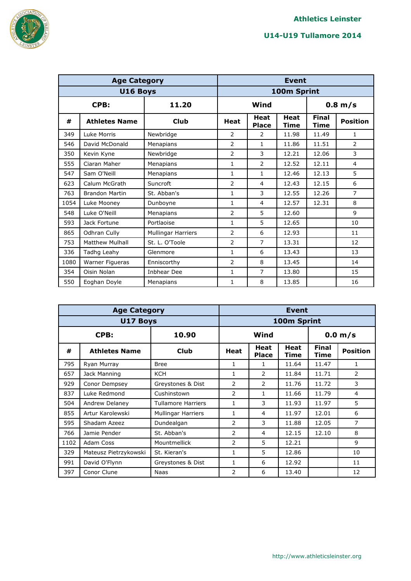

|      | <b>Age Category</b>    |                           |                |                             | <b>Event</b>        |                      |                 |  |  |
|------|------------------------|---------------------------|----------------|-----------------------------|---------------------|----------------------|-----------------|--|--|
|      | U16 Boys               |                           | 100m Sprint    |                             |                     |                      |                 |  |  |
|      | 11.20<br>CPB:          |                           |                | Wind<br>$0.8$ m/s           |                     |                      |                 |  |  |
| #    | <b>Athletes Name</b>   | <b>Club</b>               | <b>Heat</b>    | <b>Heat</b><br><b>Place</b> | <b>Heat</b><br>Time | <b>Final</b><br>Time | <b>Position</b> |  |  |
| 349  | Luke Morris            | Newbridge                 | 2              | 2                           | 11.98               | 11.49                | 1               |  |  |
| 546  | David McDonald         | Menapians                 | $\overline{2}$ | 1                           | 11.86               | 11.51                | $\overline{2}$  |  |  |
| 350  | Kevin Kyne             | Newbridge                 | 2              | 3                           | 12.21               | 12.06                | 3               |  |  |
| 555  | Ciaran Maher           | Menapians                 | 1              | 2                           | 12.52               | 12.11                | $\overline{4}$  |  |  |
| 547  | Sam O'Neill            | Menapians                 | $\mathbf{1}$   | 1                           | 12.46               | 12.13                | 5               |  |  |
| 623  | Calum McGrath          | Suncroft                  | $\overline{2}$ | $\overline{4}$              | 12.43               | 12.15                | 6               |  |  |
| 763  | <b>Brandon Martin</b>  | St. Abban's               | $\mathbf{1}$   | 3                           | 12.55               | 12.26                | $\overline{7}$  |  |  |
| 1054 | Luke Mooney            | Dunboyne                  | $\mathbf{1}$   | $\overline{4}$              | 12.57               | 12.31                | 8               |  |  |
| 548  | Luke O'Neill           | Menapians                 | $\overline{2}$ | 5                           | 12.60               |                      | 9               |  |  |
| 593  | Jack Fortune           | Portlaoise                | $\mathbf{1}$   | 5                           | 12.65               |                      | 10              |  |  |
| 865  | Odhran Cully           | <b>Mullingar Harriers</b> | 2              | 6                           | 12.93               |                      | 11              |  |  |
| 753  | <b>Matthew Mulhall</b> | St. L. O'Toole            | $\overline{2}$ | $\overline{7}$              | 13.31               |                      | 12              |  |  |
| 336  | Tadhg Leahy            | Glenmore                  | $\mathbf{1}$   | 6                           | 13.43               |                      | 13              |  |  |
| 1080 | Warner Figueras        | Enniscorthy               | $\overline{2}$ | 8                           | 13.45               |                      | 14              |  |  |
| 354  | Oisin Nolan            | Inbhear Dee               | 1              | 7                           | 13.80               |                      | 15              |  |  |
| 550  | Eoghan Doyle           | Menapians                 | $\mathbf{1}$   | 8                           | 13.85               |                      | 16              |  |  |

|      | <b>Age Category</b>   |                           |               | <b>Event</b>         |              |                      |                 |  |  |
|------|-----------------------|---------------------------|---------------|----------------------|--------------|----------------------|-----------------|--|--|
|      | <b>U17 Boys</b>       | 100m Sprint               |               |                      |              |                      |                 |  |  |
|      | CPB:                  | 10.90                     |               | Wind                 |              |                      | 0.0 m/s         |  |  |
| #    | <b>Athletes Name</b>  | Club                      | <b>Heat</b>   | Heat<br><b>Place</b> | Heat<br>Time | <b>Final</b><br>Time | <b>Position</b> |  |  |
| 795  | Ryan Murray           | <b>Bree</b>               | 1             | 1                    | 11.64        | 11.47                | $\mathbf{1}$    |  |  |
| 657  | Jack Manning          | <b>KCH</b>                | 1             | $\overline{2}$       | 11.84        | 11.71                | 2               |  |  |
| 929  | Conor Dempsey         | Greystones & Dist         | $\mathcal{P}$ | $\mathcal{P}$        | 11.76        | 11.72                | 3               |  |  |
| 837  | Luke Redmond          | Cushinstown               | 2             | 1                    | 11.66        | 11.79                | 4               |  |  |
| 504  | Andrew Delaney        | <b>Tullamore Harriers</b> | 1             | 3                    | 11.93        | 11.97                | 5               |  |  |
| 855  | Artur Karolewski      | Mullingar Harriers        | 1             | 4                    | 11.97        | 12.01                | 6               |  |  |
| 595  | Shadam Azeez          | Dundealgan                | $\mathcal{P}$ | 3                    | 11.88        | 12.05                | 7               |  |  |
| 766  | Jamie Pender          | St. Abban's               | 2             | 4                    | 12.15        | 12.10                | 8               |  |  |
| 1102 | Adam Coss             | Mountmellick              | 2             | 5                    | 12.21        |                      | 9               |  |  |
| 329  | Mateusz Pietrzykowski | St. Kieran's              | $\mathbf{1}$  | 5                    | 12.86        |                      | 10              |  |  |
| 991  | David O'Flynn         | Greystones & Dist         | 1             | 6                    | 12.92        |                      | 11              |  |  |
| 397  | Conor Clune           | Naas                      | $\mathcal{P}$ | 6                    | 13.40        |                      | 12              |  |  |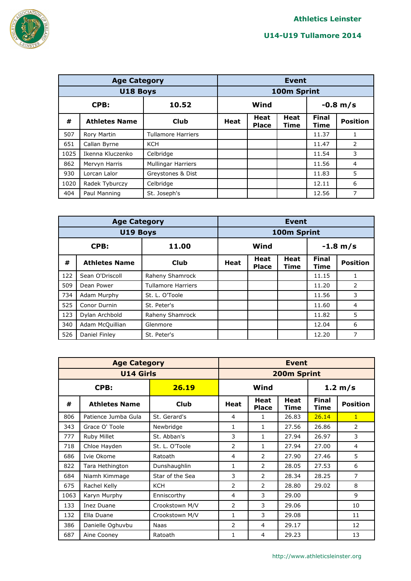

|               | <b>Age Category</b>  |                           |             | <b>Event</b>                |              |                      |                 |  |  |
|---------------|----------------------|---------------------------|-------------|-----------------------------|--------------|----------------------|-----------------|--|--|
|               | U18 Boys             |                           |             |                             | 100m Sprint  |                      |                 |  |  |
| CPB:<br>10.52 |                      |                           |             | $-0.8$ m/s<br>Wind          |              |                      |                 |  |  |
| #             | <b>Athletes Name</b> | Club                      | <b>Heat</b> | <b>Heat</b><br><b>Place</b> | Heat<br>Time | <b>Final</b><br>Time | <b>Position</b> |  |  |
| 507           | Rory Martin          | <b>Tullamore Harriers</b> |             |                             |              | 11.37                | 1               |  |  |
| 651           | Callan Byrne         | <b>KCH</b>                |             |                             |              | 11.47                | 2               |  |  |
| 1025          | Ikenna Kluczenko     | Celbridge                 |             |                             |              | 11.54                | 3               |  |  |
| 862           | Mervyn Harris        | <b>Mullingar Harriers</b> |             |                             |              | 11.56                | $\overline{4}$  |  |  |
| 930           | Lorcan Lalor         | Greystones & Dist         |             |                             |              | 11.83                | 5               |  |  |
| 1020          | Radek Tyburczy       | Celbridge                 |             |                             |              | 12.11                | 6               |  |  |
| 404           | Paul Manning         | St. Joseph's              |             |                             |              | 12.56                | 7               |  |  |

|               | <b>Age Category</b>  | <b>Event</b>              |             |                             |                     |                      |                 |  |
|---------------|----------------------|---------------------------|-------------|-----------------------------|---------------------|----------------------|-----------------|--|
|               | U19 Boys             |                           |             |                             | 100m Sprint         |                      |                 |  |
| 11.00<br>CPB: |                      |                           |             | Wind<br>$-1.8 m/s$          |                     |                      |                 |  |
| #             | <b>Athletes Name</b> | Club                      | <b>Heat</b> | <b>Heat</b><br><b>Place</b> | <b>Heat</b><br>Time | <b>Final</b><br>Time | <b>Position</b> |  |
| 122           | Sean O'Driscoll      | Raheny Shamrock           |             |                             |                     | 11.15                | 1               |  |
| 509           | Dean Power           | <b>Tullamore Harriers</b> |             |                             |                     | 11.20                | 2               |  |
| 734           | Adam Murphy          | St. L. O'Toole            |             |                             |                     | 11.56                | 3               |  |
| 525           | Conor Durnin         | St. Peter's               |             |                             |                     | 11.60                | 4               |  |
| 123           | Dylan Archbold       | Raheny Shamrock           |             |                             |                     | 11.82                | 5               |  |
| 340           | Adam McQuillian      | Glenmore                  |             |                             |                     | 12.04                | 6               |  |
| 526           | Daniel Finley        | St. Peter's               |             |                             |                     | 12.20                | 7               |  |

|               | <b>Age Category</b>  |                 |                | <b>Event</b>         |              |                      |                 |  |  |
|---------------|----------------------|-----------------|----------------|----------------------|--------------|----------------------|-----------------|--|--|
|               | <b>U14 Girls</b>     |                 |                | 200m Sprint          |              |                      |                 |  |  |
| 26.19<br>CPB: |                      |                 |                | Wind                 |              | 1.2 m/s              |                 |  |  |
| #             | <b>Athletes Name</b> | <b>Club</b>     | <b>Heat</b>    | Heat<br><b>Place</b> | Heat<br>Time | <b>Final</b><br>Time | <b>Position</b> |  |  |
| 806           | Patience Jumba Gula  | St. Gerard's    | 4              | 1                    | 26.83        | 26.14                | $\mathbf{1}$    |  |  |
| 343           | Grace O' Toole       | Newbridge       | 1              | 1                    | 27.56        | 26.86                | 2               |  |  |
| 777           | Ruby Millet          | St. Abban's     | 3              | 1                    | 27.94        | 26.97                | 3               |  |  |
| 718           | Chloe Hayden         | St. L. O'Toole  | 2              | 1                    | 27.94        | 27.00                | 4               |  |  |
| 686           | Ivie Okome           | Ratoath         | 4              | 2                    | 27.90        | 27.46                | 5               |  |  |
| 822           | Tara Hethington      | Dunshaughlin    | 1              | 2                    | 28.05        | 27.53                | 6               |  |  |
| 684           | Niamh Kimmage        | Star of the Sea | 3              | 2                    | 28.34        | 28.25                | 7               |  |  |
| 675           | Rachel Kelly         | <b>KCH</b>      | $\overline{2}$ | 2                    | 28.80        | 29.02                | 8               |  |  |
| 1063          | Karyn Murphy         | Enniscorthy     | 4              | 3                    | 29.00        |                      | 9               |  |  |
| 133           | Inez Duane           | Crookstown M/V  | 2              | 3                    | 29.06        |                      | 10              |  |  |
| 132           | Ella Duane           | Crookstown M/V  | 1              | 3                    | 29.08        |                      | 11              |  |  |
| 386           | Danielle Oghuvbu     | <b>Naas</b>     | $\overline{2}$ | 4                    | 29.17        |                      | 12              |  |  |
| 687           | Aine Cooney          | Ratoath         | $\mathbf{1}$   | 4                    | 29.23        |                      | 13              |  |  |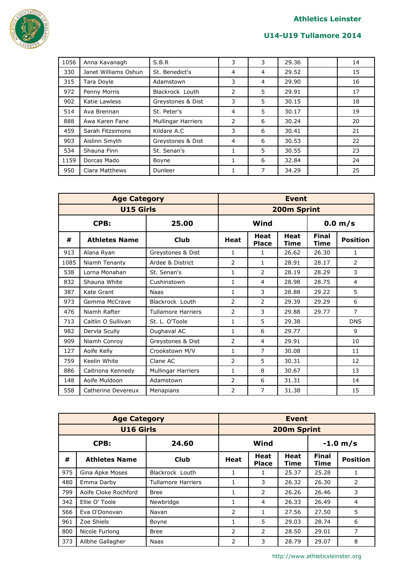

| 1056 | Anna Kavanagh        | S.B.R                     | 3 | 3              | 29.36 | 14 |
|------|----------------------|---------------------------|---|----------------|-------|----|
| 330  | Janet Williams Oshun | St. Benedict's            | 4 | $\overline{4}$ | 29.52 | 15 |
| 315  | Tara Doyle           | Adamstown                 | 3 | 4              | 29.90 | 16 |
| 972  | Penny Morris         | Blackrock Louth           | 2 | 5              | 29.91 | 17 |
| 902  | Katie Lawless        | Greystones & Dist         | 3 | 5              | 30.15 | 18 |
| 514  | Ava Brennan          | St. Peter's               | 4 | 5              | 30.17 | 19 |
| 888  | Awa Karen Fane       | <b>Mullingar Harriers</b> | 2 | 6              | 30.24 | 20 |
| 459  | Sarah Fitzsimons     | Kildare A.C               | 3 | 6              | 30.41 | 21 |
| 903  | Aislinn Smyth        | Greystones & Dist         | 4 | 6              | 30.53 | 22 |
| 534  | Shauna Finn          | St. Senan's               | 1 | 5              | 30.55 | 23 |
| 1159 | Dorcas Mado          | Boyne                     | 1 | 6              | 32.84 | 24 |
| 950  | Ciara Matthews       | Dunleer                   | 1 | 7              | 34.29 | 25 |

|               | <b>Age Category</b>  |                           |                | <b>Event</b>                |                     |                             |                 |  |  |
|---------------|----------------------|---------------------------|----------------|-----------------------------|---------------------|-----------------------------|-----------------|--|--|
|               | <b>U15 Girls</b>     |                           |                | 200m Sprint                 |                     |                             |                 |  |  |
| CPB:<br>25.00 |                      |                           |                | Wind<br>0.0 m/s             |                     |                             |                 |  |  |
| #             | <b>Athletes Name</b> | <b>Club</b>               | <b>Heat</b>    | <b>Heat</b><br><b>Place</b> | <b>Heat</b><br>Time | <b>Final</b><br><b>Time</b> | <b>Position</b> |  |  |
| 913           | Alana Ryan           | Greystones & Dist         | 1              | 1                           | 26.62               | 26.30                       | 1               |  |  |
| 1085          | Niamh Tenanty        | Ardee & District          | 2              | $\mathbf{1}$                | 28.91               | 28.17                       | 2               |  |  |
| 538           | Lorna Monahan        | St. Senan's               | 1              | 2                           | 28.19               | 28.29                       | 3               |  |  |
| 832           | Shauna White         | Cushinstown               | $\mathbf{1}$   | 4                           | 28.98               | 28.75                       | 4               |  |  |
| 387           | Kate Grant           | <b>Naas</b>               | $\mathbf{1}$   | 3                           | 28.88               | 29.22                       | 5               |  |  |
| 973           | Gemma McCrave        | Blackrock Louth           | $\overline{2}$ | $\overline{2}$              | 29.39               | 29.29                       | 6               |  |  |
| 476           | Niamh Rafter         | <b>Tullamore Harriers</b> | 2              | 3                           | 29.88               | 29.77                       | $\overline{7}$  |  |  |
| 713           | Caitlin O Sullivan   | St. L. O'Toole            | 1              | 5                           | 29.38               |                             | <b>DNS</b>      |  |  |
| 982           | Dervla Scully        | Oughaval AC               | $\mathbf{1}$   | 6                           | 29.77               |                             | 9               |  |  |
| 909           | Niamh Conroy         | Greystones & Dist         | 2              | 4                           | 29.91               |                             | 10              |  |  |
| 127           | Aoife Kelly          | Crookstown M/V            | 1              | $\overline{7}$              | 30.08               |                             | 11              |  |  |
| 759           | Keelin White         | Clane AC                  | $\overline{2}$ | 5                           | 30.31               |                             | 12              |  |  |
| 886           | Caitriona Kennedy    | Mullingar Harriers        | $\mathbf{1}$   | 8                           | 30.67               |                             | 13              |  |  |
| 148           | Aoife Muldoon        | Adamstown                 | 2              | 6                           | 31.31               |                             | 14              |  |  |
| 558           | Catherine Devereux   | Menapians                 | 2              | 7                           | 31.38               |                             | 15              |  |  |

|     | <b>Age Category</b>  | <b>Event</b>       |                |                             |                     |                      |                 |  |
|-----|----------------------|--------------------|----------------|-----------------------------|---------------------|----------------------|-----------------|--|
|     | <b>U16 Girls</b>     |                    |                |                             | 200m Sprint         |                      |                 |  |
|     | CPB:                 | 24.60              |                | Wind<br>$-1.0 m/s$          |                     |                      |                 |  |
| #   | <b>Athletes Name</b> | Club               | <b>Heat</b>    | <b>Heat</b><br><b>Place</b> | <b>Heat</b><br>Time | <b>Final</b><br>Time | <b>Position</b> |  |
| 975 | Gina Apke Moses      | Blackrock Louth    | 1              | 1                           | 25.37               | 25.28                | 1               |  |
| 480 | Emma Darby           | Tullamore Harriers |                | 3                           | 26.32               | 26.30                | 2               |  |
| 799 | Aoife Cloke Rochford | <b>Bree</b>        | 1              | 2                           | 26.26               | 26.46                | 3               |  |
| 342 | Ellie O' Toole       | Newbridge          | 1              | 4                           | 26.33               | 26.49                | 4               |  |
| 566 | Eva O'Donovan        | Navan              | 2              | 1                           | 27.56               | 27.50                | 5               |  |
| 961 | Zoe Shiels           | Boyne              | 1              | 5                           | 29.03               | 28.74                | 6               |  |
| 800 | Nicole Furlong       | <b>Bree</b>        | 2              | 2                           | 28.50               | 29.01                | 7               |  |
| 373 | Ailbhe Gallagher     | Naas               | $\overline{2}$ | 3                           | 28.79               | 29.07                | 8               |  |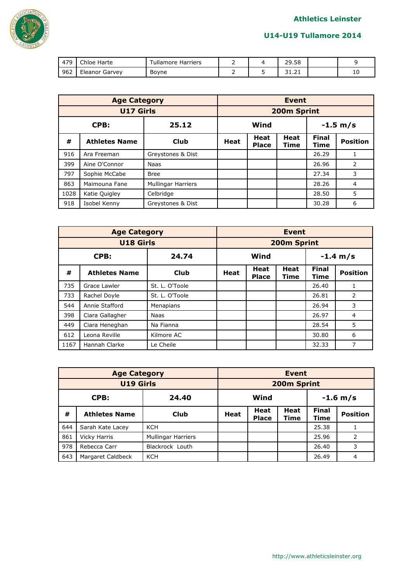

| 170 | $\sim$ 1-1<br>Chloe Harte | l ullamore Harriers |  | 29.58                  |   |
|-----|---------------------------|---------------------|--|------------------------|---|
| 962 | Eleanor Garvey            | Boyne               |  | $\sim$<br><b>JI.LL</b> | ᅭ |

|               | <b>Age Category</b>  |                           |                    | <b>Event</b>                |              |                      |                 |  |  |
|---------------|----------------------|---------------------------|--------------------|-----------------------------|--------------|----------------------|-----------------|--|--|
|               | <b>U17 Girls</b>     |                           |                    |                             | 200m Sprint  |                      |                 |  |  |
| 25.12<br>CPB: |                      |                           | Wind<br>$-1.5 m/s$ |                             |              |                      |                 |  |  |
| #             | <b>Athletes Name</b> | <b>Club</b>               | <b>Heat</b>        | <b>Heat</b><br><b>Place</b> | Heat<br>Time | <b>Final</b><br>Time | <b>Position</b> |  |  |
| 916           | Ara Freeman          | Greystones & Dist         |                    |                             |              | 26.29                |                 |  |  |
| 399           | Aine O'Connor        | <b>Naas</b>               |                    |                             |              | 26.96                | 2               |  |  |
| 797           | Sophie McCabe        | <b>Bree</b>               |                    |                             |              | 27.34                | 3               |  |  |
| 863           | Maimouna Fane        | <b>Mullingar Harriers</b> |                    |                             |              | 28.26                | $\overline{4}$  |  |  |
| 1028          | Katie Quigley        | Celbridge                 |                    |                             |              | 28.50                | 5               |  |  |
| 918           | Isobel Kenny         | Greystones & Dist         |                    |                             |              | 30.28                | 6               |  |  |

|               | <b>Age Category</b>  |                |                       | <b>Event</b>                |                     |                      |                 |  |  |
|---------------|----------------------|----------------|-----------------------|-----------------------------|---------------------|----------------------|-----------------|--|--|
|               | <b>U18 Girls</b>     |                |                       |                             | 200m Sprint         |                      |                 |  |  |
| CPB:<br>24.74 |                      |                | Wind<br>$-1.4 \; m/s$ |                             |                     |                      |                 |  |  |
| #             | <b>Athletes Name</b> | Club           | Heat                  | <b>Heat</b><br><b>Place</b> | <b>Heat</b><br>Time | <b>Final</b><br>Time | <b>Position</b> |  |  |
| 735           | Grace Lawler         | St. L. O'Toole |                       |                             |                     | 26.40                | $\mathbf{1}$    |  |  |
| 733           | Rachel Doyle         | St. L. O'Toole |                       |                             |                     | 26.81                | 2               |  |  |
| 544           | Annie Stafford       | Menapians      |                       |                             |                     | 26.94                | 3               |  |  |
| 398           | Ciara Gallagher      | Naas           |                       |                             |                     | 26.97                | $\overline{4}$  |  |  |
| 449           | Ciara Heneghan       | Na Fianna      |                       |                             |                     | 28.54                | 5               |  |  |
| 612           | Leona Reville        | Kilmore AC     |                       |                             |                     | 30.80                | 6               |  |  |
| 1167          | Hannah Clarke        | Le Cheile      |                       |                             |                     | 32.33                | 7               |  |  |

|                  | <b>Age Category</b>  |                           |                    | <b>Event</b>         |                     |                      |                 |  |  |
|------------------|----------------------|---------------------------|--------------------|----------------------|---------------------|----------------------|-----------------|--|--|
| <b>U19 Girls</b> |                      |                           |                    |                      | 200m Sprint         |                      |                 |  |  |
| CPB:<br>24.40    |                      |                           | Wind<br>$-1.6$ m/s |                      |                     |                      |                 |  |  |
| #                | <b>Athletes Name</b> | Club                      | <b>Heat</b>        | Heat<br><b>Place</b> | <b>Heat</b><br>Time | <b>Final</b><br>Time | <b>Position</b> |  |  |
| 644              | Sarah Kate Lacey     | <b>KCH</b>                |                    |                      |                     | 25.38                |                 |  |  |
| 861              | <b>Vicky Harris</b>  | <b>Mullingar Harriers</b> |                    |                      |                     | 25.96                | $\mathcal{P}$   |  |  |
| 978              | Rebecca Carr         | Blackrock Louth           |                    |                      |                     | 26.40                | 3               |  |  |
| 643              | Margaret Caldbeck    | KCH                       |                    |                      |                     | 26.49                | 4               |  |  |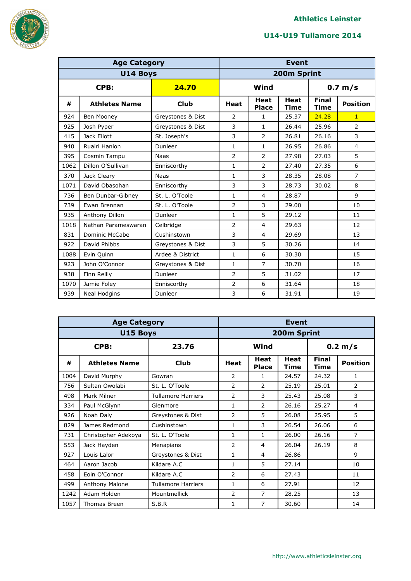

|      | <b>Age Category</b>   |                   | <b>Event</b>   |                             |                            |                      |                 |  |
|------|-----------------------|-------------------|----------------|-----------------------------|----------------------------|----------------------|-----------------|--|
|      | U14 Boys              |                   | 200m Sprint    |                             |                            |                      |                 |  |
|      | CPB:<br>24.70         |                   |                | Wind<br>0.7 m/s             |                            |                      |                 |  |
| #    | <b>Athletes Name</b>  | <b>Club</b>       | <b>Heat</b>    | <b>Heat</b><br><b>Place</b> | <b>Heat</b><br><b>Time</b> | <b>Final</b><br>Time | <b>Position</b> |  |
| 924  | Ben Mooney            | Greystones & Dist | $\overline{2}$ | 1                           | 25.37                      | 24.28                | $\mathbf{1}$    |  |
| 925  | Josh Pyper            | Greystones & Dist | 3              | 1                           | 26.44                      | 25.96                | $\overline{2}$  |  |
| 415  | Jack Eliott           | St. Joseph's      | 3              | $\overline{2}$              | 26.81                      | 26.16                | 3               |  |
| 940  | Ruairi Hanlon         | Dunleer           | $\mathbf{1}$   | 1                           | 26.95                      | 26.86                | 4               |  |
| 395  | Cosmin Tampu          | <b>Naas</b>       | $\overline{2}$ | 2                           | 27.98                      | 27.03                | 5               |  |
| 1062 | Dillon O'Sullivan     | Enniscorthy       | $\mathbf{1}$   | $\overline{2}$              | 27.40                      | 27.35                | 6               |  |
| 370  | Jack Cleary           | <b>Naas</b>       | $\mathbf{1}$   | 3                           | 28.35                      | 28.08                | $\overline{7}$  |  |
| 1071 | David Obasohan        | Enniscorthy       | 3              | 3                           | 28.73                      | 30.02                | 8               |  |
| 736  | Ben Dunbar-Gibney     | St. L. O'Toole    | $\mathbf{1}$   | $\overline{4}$              | 28.87                      |                      | 9               |  |
| 739  | Ewan Brennan          | St. L. O'Toole    | $\overline{2}$ | 3                           | 29.00                      |                      | 10              |  |
| 935  | Anthony Dillon        | Dunleer           | $\mathbf{1}$   | 5                           | 29.12                      |                      | 11              |  |
| 1018 | Nathan Parameswaran   | Celbridge         | $\overline{2}$ | $\overline{4}$              | 29.63                      |                      | 12              |  |
| 831  | <b>Dominic McCabe</b> | Cushinstown       | 3              | $\overline{4}$              | 29.69                      |                      | 13              |  |
| 922  | David Phibbs          | Greystones & Dist | 3              | 5                           | 30.26                      |                      | 14              |  |
| 1088 | Evin Quinn            | Ardee & District  | $\mathbf{1}$   | 6                           | 30.30                      |                      | 15              |  |
| 923  | John O'Connor         | Greystones & Dist | $\mathbf{1}$   | $\overline{7}$              | 30.70                      |                      | 16              |  |
| 938  | Finn Reilly           | Dunleer           | $\overline{2}$ | 5                           | 31.02                      |                      | 17              |  |
| 1070 | Jamie Foley           | Enniscorthy       | $\overline{2}$ | 6                           | 31.64                      |                      | 18              |  |
| 939  | Neal Hodgins          | Dunleer           | 3              | 6                           | 31.91                      |                      | 19              |  |

|      | <b>Age Category</b>  |                           |                | <b>Event</b>         |                     |                      |                 |  |  |
|------|----------------------|---------------------------|----------------|----------------------|---------------------|----------------------|-----------------|--|--|
|      | U15 Boys             | 200m Sprint               |                |                      |                     |                      |                 |  |  |
|      | CPB:                 | 23.76                     |                | Wind                 |                     |                      | 0.2 m/s         |  |  |
| #    | <b>Athletes Name</b> | <b>Club</b>               | Heat           | Heat<br><b>Place</b> | <b>Heat</b><br>Time | <b>Final</b><br>Time | <b>Position</b> |  |  |
| 1004 | David Murphy         | Gowran                    | $\overline{2}$ | 1                    | 24.57               | 24.32                | $\mathbf{1}$    |  |  |
| 756  | Sultan Owolabi       | St. L. O'Toole            | $\overline{2}$ | $\overline{2}$       | 25.19               | 25.01                | $\overline{2}$  |  |  |
| 498  | Mark Milner          | <b>Tullamore Harriers</b> | $\overline{2}$ | 3                    | 25.43               | 25.08                | 3               |  |  |
| 334  | Paul McGlynn         | Glenmore                  | 1              | $\overline{2}$       | 26.16               | 25.27                | 4               |  |  |
| 926  | Noah Daly            | Greystones & Dist         | 2              | 5                    | 26.08               | 25.95                | 5               |  |  |
| 829  | James Redmond        | Cushinstown               | 1              | 3                    | 26.54               | 26.06                | 6               |  |  |
| 731  | Christopher Adekoya  | St. L. O'Toole            | 1              | 1                    | 26.00               | 26.16                | $\overline{7}$  |  |  |
| 553  | Jack Hayden          | Menapians                 | 2              | 4                    | 26.04               | 26.19                | 8               |  |  |
| 927  | Louis Lalor          | Greystones & Dist         | 1              | 4                    | 26.86               |                      | 9               |  |  |
| 464  | Aaron Jacob          | Kildare A.C               | 1              | 5                    | 27.14               |                      | 10              |  |  |
| 458  | Eoin O'Connor        | Kildare A.C               | $\overline{2}$ | 6                    | 27.43               |                      | 11              |  |  |
| 499  | Anthony Malone       | <b>Tullamore Harriers</b> | $\mathbf{1}$   | 6                    | 27.91               |                      | 12              |  |  |
| 1242 | Adam Holden          | Mountmellick              | $\overline{2}$ | 7                    | 28.25               |                      | 13              |  |  |
| 1057 | Thomas Breen         | S.B.R                     | 1              | 7                    | 30.60               |                      | 14              |  |  |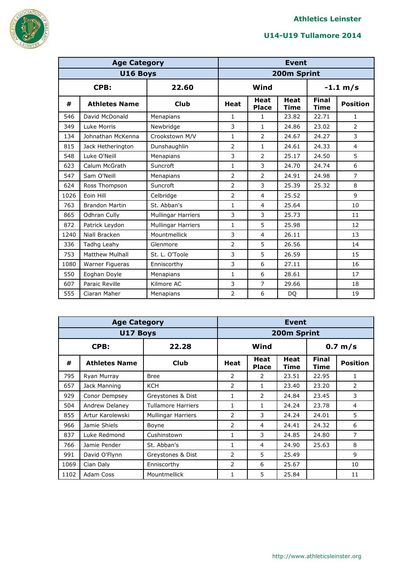

|      | <b>Age Category</b>    |                           |                | <b>Event</b>                |                     |                      |                 |  |  |
|------|------------------------|---------------------------|----------------|-----------------------------|---------------------|----------------------|-----------------|--|--|
|      | U16 Boys               |                           |                | 200m Sprint                 |                     |                      |                 |  |  |
|      | CPB:<br>22.60          |                           |                | Wind<br>$-1.1 m/s$          |                     |                      |                 |  |  |
| #    | <b>Athletes Name</b>   | <b>Club</b>               | <b>Heat</b>    | <b>Heat</b><br><b>Place</b> | <b>Heat</b><br>Time | <b>Final</b><br>Time | <b>Position</b> |  |  |
| 546  | David McDonald         | Menapians                 | 1              | 1                           | 23.82               | 22.71                | 1               |  |  |
| 349  | Luke Morris            | Newbridge                 | 3              | 1                           | 24.86               | 23.02                | $\overline{2}$  |  |  |
| 134  | Johnathan McKenna      | Crookstown M/V            | $\mathbf{1}$   | $\overline{2}$              | 24.67               | 24.27                | 3               |  |  |
| 815  | Jack Hetherington      | Dunshaughlin              | $\overline{2}$ | 1                           | 24.61               | 24.33                | $\overline{4}$  |  |  |
| 548  | Luke O'Neill           | Menapians                 | 3              | $\overline{2}$              | 25.17               | 24.50                | 5               |  |  |
| 623  | Calum McGrath          | Suncroft                  | $\mathbf{1}$   | 3                           | 24.70               | 24.74                | 6               |  |  |
| 547  | Sam O'Neill            | Menapians                 | $\overline{2}$ | $\overline{2}$              | 24.91               | 24.98                | $\overline{7}$  |  |  |
| 624  | Ross Thompson          | Suncroft                  | $\overline{2}$ | 3                           | 25.39               | 25.32                | 8               |  |  |
| 1026 | Eoin Hill              | Celbridge                 | $\overline{2}$ | 4                           | 25.52               |                      | 9               |  |  |
| 763  | <b>Brandon Martin</b>  | St. Abban's               | $\mathbf{1}$   | $\overline{4}$              | 25.64               |                      | 10              |  |  |
| 865  | Odhran Cully           | <b>Mullingar Harriers</b> | 3              | 3                           | 25.73               |                      | 11              |  |  |
| 872  | Patrick Leydon         | <b>Mullingar Harriers</b> | $\mathbf{1}$   | 5                           | 25.98               |                      | 12              |  |  |
| 1240 | Niall Bracken          | Mountmellick              | 3              | 4                           | 26.11               |                      | 13              |  |  |
| 336  | Tadhg Leahy            | Glenmore                  | $\overline{2}$ | 5                           | 26.56               |                      | 14              |  |  |
| 753  | <b>Matthew Mulhall</b> | St. L. O'Toole            | 3              | 5                           | 26.59               |                      | 15              |  |  |
| 1080 | Warner Figueras        | Enniscorthy               | 3              | 6                           | 27.11               |                      | 16              |  |  |
| 550  | Eoghan Doyle           | Menapians                 | $\mathbf{1}$   | 6                           | 28.61               |                      | 17              |  |  |
| 607  | Paraic Reville         | Kilmore AC                | 3              | 7                           | 29.66               |                      | 18              |  |  |
| 555  | Ciaran Maher           | Menapians                 | $\overline{2}$ | 6                           | DQ                  |                      | 19              |  |  |

|      | <b>Age Category</b>  |                           |                           | <b>Event</b>         |                     |                      |                 |  |  |
|------|----------------------|---------------------------|---------------------------|----------------------|---------------------|----------------------|-----------------|--|--|
|      | U17 Boys             |                           |                           | 200m Sprint          |                     |                      |                 |  |  |
|      | CPB:                 | 22.28                     | Wind<br>$0.7 \text{ m/s}$ |                      |                     |                      |                 |  |  |
| #    | <b>Athletes Name</b> | <b>Club</b>               | Heat                      | Heat<br><b>Place</b> | <b>Heat</b><br>Time | <b>Final</b><br>Time | <b>Position</b> |  |  |
| 795  | Ryan Murray          | <b>Bree</b>               | 2                         | 2                    | 23.51               | 22.95                | 1               |  |  |
| 657  | Jack Manning         | <b>KCH</b>                | 2                         | 1                    | 23.40               | 23.20                | 2               |  |  |
| 929  | Conor Dempsey        | Greystones & Dist         | 1                         | 2                    | 24.84               | 23.45                | 3               |  |  |
| 504  | Andrew Delaney       | <b>Tullamore Harriers</b> | 1                         | 1                    | 24.24               | 23.78                | 4               |  |  |
| 855  | Artur Karolewski     | Mullingar Harriers        | $\overline{2}$            | 3                    | 24.24               | 24.01                | 5               |  |  |
| 966  | Jamie Shiels         | Boyne                     | $\overline{2}$            | 4                    | 24.41               | 24.32                | 6               |  |  |
| 837  | Luke Redmond         | Cushinstown               | $\mathbf{1}$              | 3                    | 24.85               | 24.80                | $\overline{7}$  |  |  |
| 766  | Jamie Pender         | St. Abban's               | 1                         | 4                    | 24.90               | 25.63                | 8               |  |  |
| 991  | David O'Flynn        | Greystones & Dist         | 2                         | 5                    | 25.49               |                      | 9               |  |  |
| 1069 | Cian Daly            | Enniscorthy               | 2                         | 6                    | 25.67               |                      | 10              |  |  |
| 1102 | Adam Coss            | Mountmellick              | 1                         | 5                    | 25.84               |                      | 11              |  |  |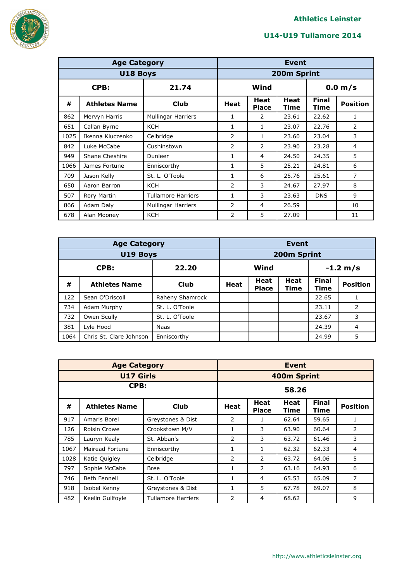

|      | <b>Age Category</b>  |                           |                | <b>Event</b>         |                     |                      |                 |  |  |
|------|----------------------|---------------------------|----------------|----------------------|---------------------|----------------------|-----------------|--|--|
|      | U18 Boys             |                           |                | 200m Sprint          |                     |                      |                 |  |  |
|      | CPB:                 | 21.74                     |                | Wind                 |                     |                      | 0.0 m/s         |  |  |
| #    | <b>Athletes Name</b> | Club                      | Heat           | Heat<br><b>Place</b> | <b>Heat</b><br>Time | <b>Final</b><br>Time | <b>Position</b> |  |  |
| 862  | Mervyn Harris        | <b>Mullingar Harriers</b> | 1              | 2                    | 23.61               | 22.62                | 1               |  |  |
| 651  | Callan Byrne         | <b>KCH</b>                | 1              | 1                    | 23.07               | 22.76                | 2               |  |  |
| 1025 | Ikenna Kluczenko     | Celbridge                 | $\mathcal{P}$  | 1                    | 23.60               | 23.04                | 3               |  |  |
| 842  | Luke McCabe          | Cushinstown               | $\overline{2}$ | 2                    | 23.90               | 23.28                | 4               |  |  |
| 949  | Shane Cheshire       | Dunleer                   | 1              | 4                    | 24.50               | 24.35                | 5               |  |  |
| 1066 | James Fortune        | Enniscorthy               | 1              | 5                    | 25.21               | 24.81                | 6               |  |  |
| 709  | Jason Kelly          | St. L. O'Toole            | 1              | 6                    | 25.76               | 25.61                | $\overline{7}$  |  |  |
| 650  | Aaron Barron         | <b>KCH</b>                | 2              | 3                    | 24.67               | 27.97                | 8               |  |  |
| 507  | Rory Martin          | Tullamore Harriers        | 1              | 3                    | 23.63               | <b>DNS</b>           | 9               |  |  |
| 866  | Adam Daly            | <b>Mullingar Harriers</b> | 2              | 4                    | 26.59               |                      | 10              |  |  |
| 678  | Alan Mooney          | <b>KCH</b>                | 2              | 5                    | 27.09               |                      | 11              |  |  |

|               | <b>Age Category</b>     | <b>Event</b>    |                    |                             |                     |                      |                 |
|---------------|-------------------------|-----------------|--------------------|-----------------------------|---------------------|----------------------|-----------------|
|               | <b>U19 Boys</b>         |                 |                    |                             | 200m Sprint         |                      |                 |
| 22.20<br>CPB: |                         |                 | Wind<br>$-1.2 m/s$ |                             |                     |                      |                 |
| #             | <b>Athletes Name</b>    | <b>Club</b>     | <b>Heat</b>        | <b>Heat</b><br><b>Place</b> | <b>Heat</b><br>Time | <b>Final</b><br>Time | <b>Position</b> |
| 122           | Sean O'Driscoll         | Raheny Shamrock |                    |                             |                     | 22.65                |                 |
| 734           | Adam Murphy             | St. L. O'Toole  |                    |                             |                     | 23.11                | $\mathcal{P}$   |
| 732           | Owen Scully             | St. L. O'Toole  |                    |                             |                     | 23.67                | 3               |
| 381           | Lyle Hood               | <b>Naas</b>     |                    |                             |                     | 24.39                | $\overline{4}$  |
| 1064          | Chris St. Clare Johnson | Enniscorthy     |                    |                             |                     | 24.99                | 5               |

|      | <b>Age Category</b>  |                           |                    | <b>Event</b>         |              |                      |                 |  |
|------|----------------------|---------------------------|--------------------|----------------------|--------------|----------------------|-----------------|--|
|      | <b>U17 Girls</b>     |                           | <b>400m Sprint</b> |                      |              |                      |                 |  |
| CPB: |                      |                           | 58.26              |                      |              |                      |                 |  |
| #    | <b>Athletes Name</b> | Club                      | Heat               | Heat<br><b>Place</b> | Heat<br>Time | <b>Final</b><br>Time | <b>Position</b> |  |
| 917  | Amaris Borel         | Greystones & Dist         | 2                  | 1                    | 62.64        | 59.65                | 1               |  |
| 126  | Roisin Crowe         | Crookstown M/V            | 1                  | 3                    | 63.90        | 60.64                | 2               |  |
| 785  | Lauryn Kealy         | St. Abban's               | 2                  | 3                    | 63.72        | 61.46                | 3               |  |
| 1067 | Mairead Fortune      | Enniscorthy               | $\mathbf{1}$       | 1                    | 62.32        | 62.33                | 4               |  |
| 1028 | Katie Quigley        | Celbridge                 | 2                  | 2                    | 63.72        | 64.06                | 5               |  |
| 797  | Sophie McCabe        | <b>Bree</b>               | 1                  | 2                    | 63.16        | 64.93                | 6               |  |
| 746  | Beth Fennell         | St. L. O'Toole            | 1                  | 4                    | 65.53        | 65.09                | 7               |  |
| 918  | Isobel Kenny         | Greystones & Dist         | 1                  | 5                    | 67.78        | 69.07                | 8               |  |
| 482  | Keelin Guilfoyle     | <b>Tullamore Harriers</b> | 2                  | 4                    | 68.62        |                      | 9               |  |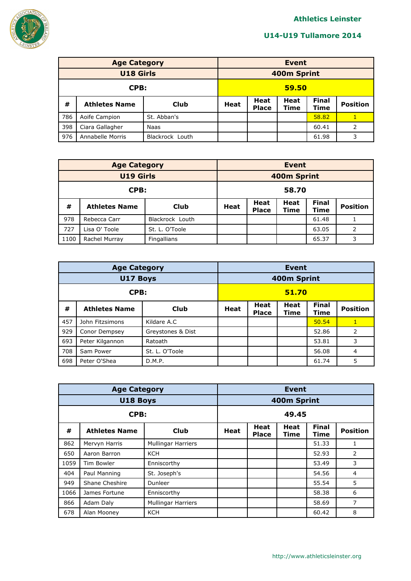

|      | <b>Age Category</b>  |                 |             | <b>Event</b>                |                     |                             |                 |  |  |
|------|----------------------|-----------------|-------------|-----------------------------|---------------------|-----------------------------|-----------------|--|--|
|      | <b>U18 Girls</b>     |                 |             | 400m Sprint                 |                     |                             |                 |  |  |
| CPB: |                      |                 | 59.50       |                             |                     |                             |                 |  |  |
| #    | <b>Athletes Name</b> | <b>Club</b>     | <b>Heat</b> | <b>Heat</b><br><b>Place</b> | <b>Heat</b><br>Time | <b>Final</b><br><b>Time</b> | <b>Position</b> |  |  |
| 786  | Aoife Campion        | St. Abban's     |             |                             |                     | 58.82                       |                 |  |  |
| 398  | Ciara Gallagher      | Naas            |             |                             |                     | 60.41                       | 2               |  |  |
| 976  | Annabelle Morris     | Blackrock Louth |             |                             |                     | 61.98                       | 3               |  |  |

|                  | <b>Age Category</b>  |                 |             | <b>Event</b>                |                            |                      |                 |  |  |
|------------------|----------------------|-----------------|-------------|-----------------------------|----------------------------|----------------------|-----------------|--|--|
| <b>U19 Girls</b> |                      |                 |             | 400m Sprint                 |                            |                      |                 |  |  |
| CPB:             |                      |                 | 58.70       |                             |                            |                      |                 |  |  |
| #                | <b>Athletes Name</b> | Club            | <b>Heat</b> | <b>Heat</b><br><b>Place</b> | <b>Heat</b><br><b>Time</b> | <b>Final</b><br>Time | <b>Position</b> |  |  |
| 978              | Rebecca Carr         | Blackrock Louth |             |                             |                            | 61.48                |                 |  |  |
| 727              | Lisa O' Toole        | St. L. O'Toole  |             |                             |                            | 63.05                | $\overline{2}$  |  |  |
| 1100             | Rachel Murray        | Fingallians     |             |                             |                            | 65.37                | 3               |  |  |

|      | <b>Age Category</b>  |                   |             | <b>Event</b>                |                     |                      |                 |  |  |
|------|----------------------|-------------------|-------------|-----------------------------|---------------------|----------------------|-----------------|--|--|
|      | <b>U17 Boys</b>      |                   |             |                             | 400m Sprint         |                      |                 |  |  |
| CPB: |                      |                   | 51.70       |                             |                     |                      |                 |  |  |
| #    | <b>Athletes Name</b> | <b>Club</b>       | <b>Heat</b> | <b>Heat</b><br><b>Place</b> | <b>Heat</b><br>Time | <b>Final</b><br>Time | <b>Position</b> |  |  |
| 457  | John Fitzsimons      | Kildare A.C       |             |                             |                     | 50.54                | $\mathbf{1}$    |  |  |
| 929  | Conor Dempsey        | Greystones & Dist |             |                             |                     | 52.86                | 2               |  |  |
| 693  | Peter Kilgannon      | Ratoath           |             |                             |                     | 53.81                | 3               |  |  |
| 708  | Sam Power            | St. L. O'Toole    |             |                             |                     | 56.08                | $\overline{4}$  |  |  |
| 698  | Peter O'Shea         | D.M.P.            |             |                             |                     | 61.74                | 5               |  |  |

|      | <b>Age Category</b>  |                           |             | <b>Event</b>         |                     |                      |                 |  |  |
|------|----------------------|---------------------------|-------------|----------------------|---------------------|----------------------|-----------------|--|--|
|      | U18 Boys             |                           |             | 400m Sprint          |                     |                      |                 |  |  |
| CPB: |                      |                           | 49.45       |                      |                     |                      |                 |  |  |
| #    | <b>Athletes Name</b> | <b>Club</b>               | <b>Heat</b> | Heat<br><b>Place</b> | Heat<br><b>Time</b> | <b>Final</b><br>Time | <b>Position</b> |  |  |
| 862  | Mervyn Harris        | <b>Mullingar Harriers</b> |             |                      |                     | 51.33                | 1               |  |  |
| 650  | Aaron Barron         | <b>KCH</b>                |             |                      |                     | 52.93                | 2               |  |  |
| 1059 | <b>Tim Bowler</b>    | Enniscorthy               |             |                      |                     | 53.49                | 3               |  |  |
| 404  | Paul Manning         | St. Joseph's              |             |                      |                     | 54.56                | 4               |  |  |
| 949  | Shane Cheshire       | Dunleer                   |             |                      |                     | 55.54                | 5               |  |  |
| 1066 | James Fortune        | Enniscorthy               |             |                      |                     | 58.38                | 6               |  |  |
| 866  | Adam Daly            | <b>Mullingar Harriers</b> |             |                      |                     | 58.69                | 7               |  |  |
| 678  | Alan Mooney          | <b>KCH</b>                |             |                      |                     | 60.42                | 8               |  |  |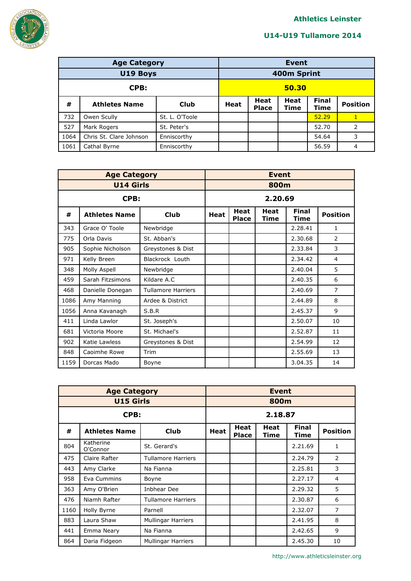

|      | <b>Age Category</b>     |                |             | <b>Event</b>                |                     |                             |                 |  |
|------|-------------------------|----------------|-------------|-----------------------------|---------------------|-----------------------------|-----------------|--|
|      | U19 Boys                |                |             | 400m Sprint                 |                     |                             |                 |  |
| CPB: |                         |                | 50.30       |                             |                     |                             |                 |  |
| #    | <b>Athletes Name</b>    | Club           | <b>Heat</b> | <b>Heat</b><br><b>Place</b> | <b>Heat</b><br>Time | <b>Final</b><br><b>Time</b> | <b>Position</b> |  |
| 732  | Owen Scully             | St. L. O'Toole |             |                             |                     | 52.29                       |                 |  |
| 527  | Mark Rogers             | St. Peter's    |             |                             |                     | 52.70                       | 2               |  |
| 1064 | Chris St. Clare Johnson | Enniscorthy    |             |                             |                     | 54.64                       | 3               |  |
| 1061 | Cathal Byrne            | Enniscorthy    |             |                             |                     | 56.59                       | 4               |  |

|      | <b>Age Category</b>  |                           | <b>Event</b> |                             |              |                      |                 |  |  |  |
|------|----------------------|---------------------------|--------------|-----------------------------|--------------|----------------------|-----------------|--|--|--|
|      | <b>U14 Girls</b>     |                           |              |                             | 800m         |                      |                 |  |  |  |
|      | CPB:                 |                           |              | 2.20.69                     |              |                      |                 |  |  |  |
| #    | <b>Athletes Name</b> | <b>Club</b>               | Heat         | <b>Heat</b><br><b>Place</b> | Heat<br>Time | <b>Final</b><br>Time | <b>Position</b> |  |  |  |
| 343  | Grace O' Toole       | Newbridge                 |              |                             |              | 2.28.41              | 1               |  |  |  |
| 775  | Orla Davis           | St. Abban's               |              |                             |              | 2.30.68              | 2               |  |  |  |
| 905  | Sophie Nicholson     | Greystones & Dist         |              |                             |              | 2.33.84              | 3               |  |  |  |
| 971  | Kelly Breen          | Blackrock Louth           |              |                             |              | 2.34.42              | 4               |  |  |  |
| 348  | Molly Aspell         | Newbridge                 |              |                             |              | 2.40.04              | 5               |  |  |  |
| 459  | Sarah Fitzsimons     | Kildare A.C.              |              |                             |              | 2.40.35              | 6               |  |  |  |
| 468  | Danielle Donegan     | <b>Tullamore Harriers</b> |              |                             |              | 2.40.69              | $\overline{7}$  |  |  |  |
| 1086 | Amy Manning          | Ardee & District          |              |                             |              | 2.44.89              | 8               |  |  |  |
| 1056 | Anna Kavanagh        | S.B.R                     |              |                             |              | 2.45.37              | 9               |  |  |  |
| 411  | Linda Lawlor         | St. Joseph's              |              |                             |              | 2.50.07              | 10              |  |  |  |
| 681  | Victoria Moore       | St. Michael's             |              |                             |              | 2.52.87              | 11              |  |  |  |
| 902  | Katie Lawless        | Greystones & Dist         |              |                             |              | 2.54.99              | 12              |  |  |  |
| 848  | Caoimhe Rowe         | Trim                      |              |                             |              | 2.55.69              | 13              |  |  |  |
| 1159 | Dorcas Mado          | Boyne                     |              |                             |              | 3.04.35              | 14              |  |  |  |

|      | <b>Age Category</b>   |                           |             | <b>Event</b>                |              |                      |                 |  |  |
|------|-----------------------|---------------------------|-------------|-----------------------------|--------------|----------------------|-----------------|--|--|
|      | <b>U15 Girls</b>      |                           | 800m        |                             |              |                      |                 |  |  |
| CPB: |                       |                           | 2.18.87     |                             |              |                      |                 |  |  |
| #    | <b>Athletes Name</b>  | <b>Club</b>               | <b>Heat</b> | <b>Heat</b><br><b>Place</b> | Heat<br>Time | <b>Final</b><br>Time | <b>Position</b> |  |  |
| 804  | Katherine<br>O'Connor | St. Gerard's              |             |                             |              | 2.21.69              | $\mathbf{1}$    |  |  |
| 475  | Claire Rafter         | <b>Tullamore Harriers</b> |             |                             |              | 2.24.79              | $\overline{2}$  |  |  |
| 443  | Amy Clarke            | Na Fianna                 |             |                             |              | 2.25.81              | 3               |  |  |
| 958  | Eva Cummins           | Boyne                     |             |                             |              | 2.27.17              | 4               |  |  |
| 363  | Amy O'Brien           | Inbhear Dee               |             |                             |              | 2.29.32              | 5               |  |  |
| 476  | Niamh Rafter          | <b>Tullamore Harriers</b> |             |                             |              | 2.30.87              | 6               |  |  |
| 1160 | Holly Byrne           | Parnell                   |             |                             |              | 2.32.07              | 7               |  |  |
| 883  | Laura Shaw            | Mullingar Harriers        |             |                             |              | 2.41.95              | 8               |  |  |
| 441  | Emma Neary            | Na Fianna                 |             |                             |              | 2.42.65              | 9               |  |  |
| 864  | Daria Fidgeon         | Mullingar Harriers        |             |                             |              | 2.45.30              | 10              |  |  |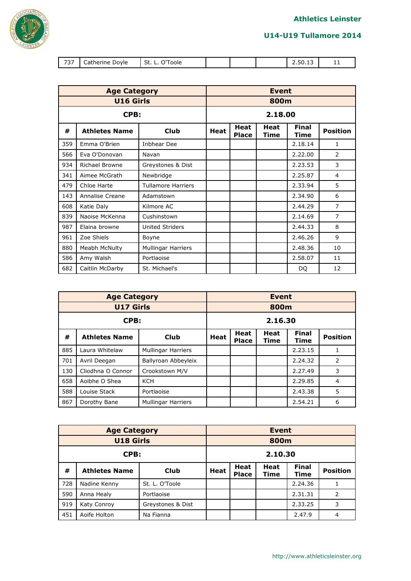

| U14-U19 Tullamore 2014 |  |  |
|------------------------|--|--|
|------------------------|--|--|

| $\overline{\phantom{a}}$<br>. | $   -$<br>Jovle<br>пег<br>יו וו זי<br>$\overline{ }$ | $-1$<br>ົ້<br>ວເ<br>oore |  | 2.50.13 | . . |
|-------------------------------|------------------------------------------------------|--------------------------|--|---------|-----|

|     | <b>Age Category</b>   |                           | <b>Event</b> |                             |                     |                             |                 |  |  |
|-----|-----------------------|---------------------------|--------------|-----------------------------|---------------------|-----------------------------|-----------------|--|--|
|     | <b>U16 Girls</b>      |                           | 800m         |                             |                     |                             |                 |  |  |
|     | CPB:                  |                           |              | 2.18.00                     |                     |                             |                 |  |  |
| #   | <b>Athletes Name</b>  | Club                      | Heat         | <b>Heat</b><br><b>Place</b> | <b>Heat</b><br>Time | <b>Final</b><br><b>Time</b> | <b>Position</b> |  |  |
| 359 | Emma O'Brien          | <b>Inbhear Dee</b>        |              |                             |                     | 2.18.14                     | 1               |  |  |
| 566 | Eva O'Donovan         | Navan                     |              |                             |                     | 2.22.00                     | $\overline{2}$  |  |  |
| 934 | <b>Richael Browne</b> | Greystones & Dist         |              |                             |                     | 2.23.53                     | 3               |  |  |
| 341 | Aimee McGrath         | Newbridge                 |              |                             |                     | 2.25.87                     | 4               |  |  |
| 479 | Chloe Harte           | <b>Tullamore Harriers</b> |              |                             |                     | 2.33.94                     | 5               |  |  |
| 143 | Annalise Creane       | Adamstown                 |              |                             |                     | 2.34.90                     | 6               |  |  |
| 608 | Katie Daly            | Kilmore AC                |              |                             |                     | 2.44.29                     | $\overline{7}$  |  |  |
| 839 | Naoise McKenna        | Cushinstown               |              |                             |                     | 2.14.69                     | $\overline{7}$  |  |  |
| 987 | Elaina browne         | <b>United Striders</b>    |              |                             |                     | 2.44.33                     | 8               |  |  |
| 961 | Zoe Shiels            | Boyne                     |              |                             |                     | 2.46.26                     | 9               |  |  |
| 880 | Meabh McNulty         | <b>Mullingar Harriers</b> |              |                             |                     | 2.48.36                     | 10              |  |  |
| 586 | Amy Walsh             | Portlaoise                |              |                             |                     | 2.58.07                     | 11              |  |  |
| 682 | Caitlin McDarby       | St. Michael's             |              |                             |                     | DQ                          | 12              |  |  |

|      | <b>Age Category</b>  |                           |      | <b>Event</b>                |                     |                      |                 |  |  |
|------|----------------------|---------------------------|------|-----------------------------|---------------------|----------------------|-----------------|--|--|
|      | <b>U17 Girls</b>     |                           |      | 800m                        |                     |                      |                 |  |  |
| CPB: |                      |                           |      | 2.16.30                     |                     |                      |                 |  |  |
| #    | <b>Athletes Name</b> | Club                      | Heat | <b>Heat</b><br><b>Place</b> | <b>Heat</b><br>Time | <b>Final</b><br>Time | <b>Position</b> |  |  |
| 885  | Laura Whitelaw       | <b>Mullingar Harriers</b> |      |                             |                     | 2.23.15              | 1               |  |  |
| 701  | Avril Deegan         | Ballyroan Abbeyleix       |      |                             |                     | 2.24.32              | 2               |  |  |
| 130  | Cliodhna O Connor    | Crookstown M/V            |      |                             |                     | 2.27.49              | 3               |  |  |
| 658  | Aoibhe O Shea        | <b>KCH</b>                |      |                             |                     | 2.29.85              | 4               |  |  |
| 588  | Louise Stack         | Portlaoise                |      |                             |                     | 2.43.38              | 5               |  |  |
| 867  | Dorothy Bane         | <b>Mullingar Harriers</b> |      |                             |                     | 2.54.21              | 6               |  |  |

|                  | <b>Age Category</b>  | <b>Event</b>      |             |                 |  |         |                |  |  |
|------------------|----------------------|-------------------|-------------|-----------------|--|---------|----------------|--|--|
| <b>U18 Girls</b> |                      |                   |             | 800m            |  |         |                |  |  |
| CPB:             |                      |                   |             | 2.10.30         |  |         |                |  |  |
| #                | <b>Athletes Name</b> | Club              | <b>Heat</b> | <b>Position</b> |  |         |                |  |  |
| 728              | Nadine Kenny         | St. L. O'Toole    |             |                 |  | 2.24.36 |                |  |  |
| 590              | Anna Healy           | Portlaoise        |             |                 |  | 2.31.31 | $\overline{2}$ |  |  |
| 919              | Katy Conroy          | Greystones & Dist | 2.33.25     |                 |  |         | 3              |  |  |
| 451              | Aoife Holton         | Na Fianna         |             |                 |  | 2.47.9  | 4              |  |  |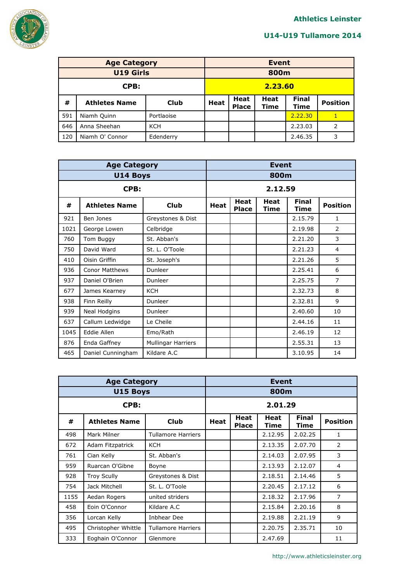

|                  | <b>Age Category</b>  | Event       |         |                             |                            |                      |                 |  |  |
|------------------|----------------------|-------------|---------|-----------------------------|----------------------------|----------------------|-----------------|--|--|
| <b>U19 Girls</b> |                      |             |         | 800m                        |                            |                      |                 |  |  |
| CPB:             |                      |             | 2.23.60 |                             |                            |                      |                 |  |  |
| #                | <b>Athletes Name</b> | <b>Club</b> | Heat    | <b>Heat</b><br><b>Place</b> | <b>Heat</b><br><b>Time</b> | <b>Final</b><br>Time | <b>Position</b> |  |  |
| 591              | Niamh Quinn          | Portlaoise  |         |                             |                            | 2.22.30              | 1               |  |  |
| 646              | Anna Sheehan         | <b>KCH</b>  |         |                             |                            | 2.23.03              | 2               |  |  |
| 120              | Niamh O' Connor      | Edenderry   |         |                             |                            | 2.46.35              | 3               |  |  |

|      | <b>Age Category</b>   |                           | <b>Event</b> |                             |                     |                             |                 |  |  |
|------|-----------------------|---------------------------|--------------|-----------------------------|---------------------|-----------------------------|-----------------|--|--|
|      | <b>U14 Boys</b>       |                           | 800m         |                             |                     |                             |                 |  |  |
|      | CPB:                  |                           |              | 2.12.59                     |                     |                             |                 |  |  |
| #    | <b>Athletes Name</b>  | <b>Club</b>               | Heat         | <b>Heat</b><br><b>Place</b> | Heat<br><b>Time</b> | <b>Final</b><br><b>Time</b> | <b>Position</b> |  |  |
| 921  | Ben Jones             | Greystones & Dist         |              |                             |                     | 2.15.79                     | $\mathbf{1}$    |  |  |
| 1021 | George Lowen          | Celbridge                 |              |                             |                     | 2.19.98                     | 2               |  |  |
| 760  | Tom Buggy             | St. Abban's               |              |                             |                     | 2.21.20                     | 3               |  |  |
| 750  | David Ward            | St. L. O'Toole            |              |                             |                     | 2.21.23                     | 4               |  |  |
| 410  | Oisin Griffin         | St. Joseph's              |              |                             |                     | 2.21.26                     | 5               |  |  |
| 936  | <b>Conor Matthews</b> | Dunleer                   |              |                             |                     | 2.25.41                     | 6               |  |  |
| 937  | Daniel O'Brien        | Dunleer                   |              |                             |                     | 2.25.75                     | $\overline{7}$  |  |  |
| 677  | James Kearney         | <b>KCH</b>                |              |                             |                     | 2.32.73                     | 8               |  |  |
| 938  | Finn Reilly           | Dunleer                   |              |                             |                     | 2.32.81                     | 9               |  |  |
| 939  | Neal Hodgins          | Dunleer                   |              |                             |                     | 2.40.60                     | 10              |  |  |
| 637  | Callum Ledwidge       | Le Cheile                 |              |                             |                     | 2.44.16                     | 11              |  |  |
| 1045 | Eddie Allen           | Emo/Rath                  |              |                             |                     | 2.46.19                     | 12              |  |  |
| 876  | Enda Gaffney          | <b>Mullingar Harriers</b> |              |                             |                     | 2.55.31                     | 13              |  |  |
| 465  | Daniel Cunningham     | Kildare A.C               |              |                             |                     | 3.10.95                     | 14              |  |  |

|      | <b>Age Category</b>  | Event                     |      |                             |              |                      |                 |  |  |
|------|----------------------|---------------------------|------|-----------------------------|--------------|----------------------|-----------------|--|--|
|      | U15 Boys             |                           | 800m |                             |              |                      |                 |  |  |
| CPB: |                      |                           |      | 2.01.29                     |              |                      |                 |  |  |
| #    | <b>Athletes Name</b> | <b>Club</b>               | Heat | <b>Heat</b><br><b>Place</b> | Heat<br>Time | <b>Final</b><br>Time | <b>Position</b> |  |  |
| 498  | Mark Milner          | <b>Tullamore Harriers</b> |      |                             | 2.12.95      | 2.02.25              | $\mathbf{1}$    |  |  |
| 672  | Adam Fitzpatrick     | <b>KCH</b>                |      |                             | 2.13.35      | 2.07.70              | 2               |  |  |
| 761  | Cian Kelly           | St. Abban's               |      |                             | 2.14.03      | 2.07.95              | 3               |  |  |
| 959  | Ruarcan O'Gibne      | Boyne                     |      |                             | 2.13.93      | 2.12.07              | $\overline{4}$  |  |  |
| 928  | <b>Troy Scully</b>   | Greystones & Dist         |      |                             | 2.18.51      | 2.14.46              | 5               |  |  |
| 754  | Jack Mitchell        | St. L. O'Toole            |      |                             | 2.20.45      | 2.17.12              | 6               |  |  |
| 1155 | Aedan Rogers         | united striders           |      |                             | 2.18.32      | 2.17.96              | $\overline{7}$  |  |  |
| 458  | Eoin O'Connor        | Kildare A.C               |      |                             | 2.15.84      | 2.20.16              | 8               |  |  |
| 356  | Lorcan Kelly         | Inbhear Dee               |      |                             | 2.19.88      | 2.21.19              | 9               |  |  |
| 495  | Christopher Whittle  | <b>Tullamore Harriers</b> |      |                             | 2.20.75      | 2.35.71              | 10              |  |  |
| 333  | Eoghain O'Connor     | Glenmore                  |      |                             | 2.47.69      |                      | 11              |  |  |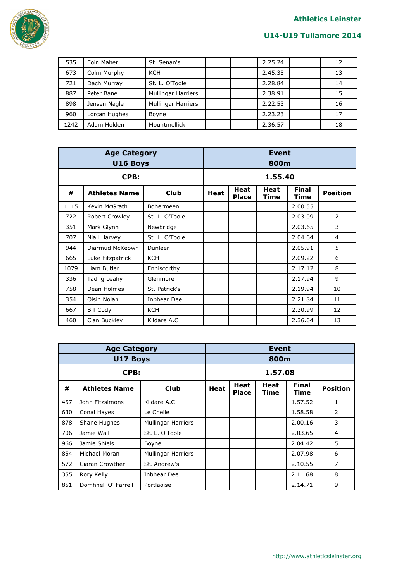

| 535  | Eoin Maher    | St. Senan's               |  | 2.25.24 | 12 |
|------|---------------|---------------------------|--|---------|----|
| 673  | Colm Murphy   | KCH                       |  | 2.45.35 | 13 |
| 721  | Dach Murray   | St. L. O'Toole            |  | 2.28.84 | 14 |
| 887  | Peter Bane    | <b>Mullingar Harriers</b> |  | 2.38.91 | 15 |
| 898  | Jensen Nagle  | <b>Mullingar Harriers</b> |  | 2.22.53 | 16 |
| 960  | Lorcan Hughes | Boyne                     |  | 2.23.23 | 17 |
| 1242 | Adam Holden   | Mountmellick              |  | 2.36.57 | 18 |

|      | <b>Age Category</b>  | <b>Event</b>   |      |                      |              |                      |                 |  |
|------|----------------------|----------------|------|----------------------|--------------|----------------------|-----------------|--|
|      | U16 Boys             |                | 800m |                      |              |                      |                 |  |
|      | CPB:                 |                |      |                      | 1.55.40      |                      |                 |  |
| #    | <b>Athletes Name</b> | Club           | Heat | Heat<br><b>Place</b> | Heat<br>Time | <b>Final</b><br>Time | <b>Position</b> |  |
| 1115 | Kevin McGrath        | Bohermeen      |      |                      |              | 2.00.55              | $\mathbf{1}$    |  |
| 722  | Robert Crowley       | St. L. O'Toole |      |                      |              | 2.03.09              | $\overline{2}$  |  |
| 351  | Mark Glynn           | Newbridge      |      |                      |              | 2.03.65              | 3               |  |
| 707  | Niall Harvey         | St. L. O'Toole |      |                      |              | 2.04.64              | 4               |  |
| 944  | Diarmud McKeown      | Dunleer        |      |                      |              | 2.05.91              | 5               |  |
| 665  | Luke Fitzpatrick     | <b>KCH</b>     |      |                      |              | 2.09.22              | 6               |  |
| 1079 | Liam Butler          | Enniscorthy    |      |                      |              | 2.17.12              | 8               |  |
| 336  | Tadhg Leahy          | Glenmore       |      |                      |              | 2.17.94              | 9               |  |
| 758  | Dean Holmes          | St. Patrick's  |      |                      |              | 2.19.94              | 10              |  |
| 354  | Oisin Nolan          | Inbhear Dee    |      |                      |              | 2.21.84              | 11              |  |
| 667  | <b>Bill Cody</b>     | <b>KCH</b>     |      |                      |              | 2.30.99              | 12              |  |
| 460  | Cian Buckley         | Kildare A.C    |      |                      |              | 2.36.64              | 13              |  |

|      | <b>Age Category</b>  | <b>Event</b>              |      |                             |              |                      |                 |  |  |
|------|----------------------|---------------------------|------|-----------------------------|--------------|----------------------|-----------------|--|--|
|      | U17 Boys             |                           | 800m |                             |              |                      |                 |  |  |
| CPB: |                      |                           |      | 1.57.08                     |              |                      |                 |  |  |
| #    | <b>Athletes Name</b> | <b>Club</b>               | Heat | <b>Heat</b><br><b>Place</b> | Heat<br>Time | <b>Final</b><br>Time | <b>Position</b> |  |  |
| 457  | John Fitzsimons      | Kildare A.C               |      |                             |              | 1.57.52              | 1               |  |  |
| 630  | Conal Hayes          | Le Cheile                 |      |                             |              | 1.58.58              | 2               |  |  |
| 878  | Shane Hughes         | <b>Mullingar Harriers</b> |      |                             |              | 2.00.16              | 3               |  |  |
| 706  | Jamie Wall           | St. L. O'Toole            |      |                             |              | 2.03.65              | 4               |  |  |
| 966  | Jamie Shiels         | Boyne                     |      |                             |              | 2.04.42              | 5               |  |  |
| 854  | Michael Moran        | <b>Mullingar Harriers</b> |      |                             |              | 2.07.98              | 6               |  |  |
| 572  | Ciaran Crowther      | St. Andrew's              |      |                             |              | 2.10.55              | 7               |  |  |
| 355  | Rory Kelly           |                           |      |                             | 2.11.68      | 8                    |                 |  |  |
| 851  | Domhnell O' Farrell  | Portlaoise                |      |                             |              | 2.14.71              | 9               |  |  |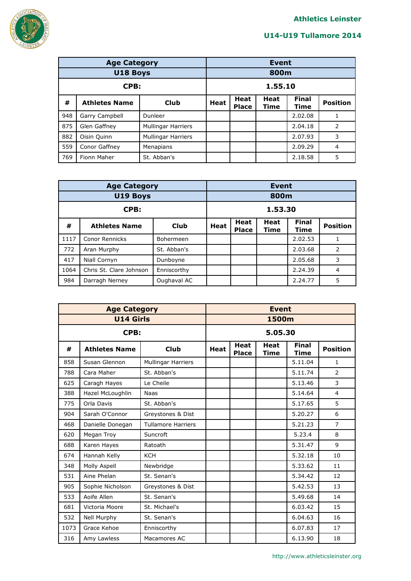

|      | <b>Age Category</b>  | Event                     |         |                 |  |         |                |
|------|----------------------|---------------------------|---------|-----------------|--|---------|----------------|
|      | <b>U18 Boys</b>      |                           |         | 800m            |  |         |                |
| CPB: |                      |                           | 1.55.10 |                 |  |         |                |
| #    | <b>Athletes Name</b> | Club                      | Heat    | <b>Position</b> |  |         |                |
| 948  | Garry Campbell       | Dunleer                   |         |                 |  | 2.02.08 |                |
| 875  | Glen Gaffney         | <b>Mullingar Harriers</b> |         |                 |  | 2.04.18 | 2              |
| 882  | Oisin Quinn          | <b>Mullingar Harriers</b> |         |                 |  | 2.07.93 | 3              |
| 559  | Conor Gaffney        | Menapians                 |         |                 |  | 2.09.29 | $\overline{4}$ |
| 769  | Fionn Maher          | St. Abban's               |         |                 |  | 2.18.58 | 5              |

|          | <b>Age Category</b>     | <b>Event</b> |                                                                                                       |  |      |         |   |
|----------|-------------------------|--------------|-------------------------------------------------------------------------------------------------------|--|------|---------|---|
| U19 Boys |                         |              |                                                                                                       |  | 800m |         |   |
| CPB:     |                         |              | 1.53.30                                                                                               |  |      |         |   |
| #        | <b>Athletes Name</b>    | Club         | <b>Final</b><br><b>Heat</b><br>Heat<br><b>Position</b><br><b>Heat</b><br><b>Place</b><br>Time<br>Time |  |      |         |   |
| 1117     | Conor Rennicks          | Bohermeen    |                                                                                                       |  |      | 2.02.53 |   |
| 772      | Aran Murphy             | St. Abban's  |                                                                                                       |  |      | 2.03.68 | 2 |
| 417      | Niall Cornyn            | Dunboyne     |                                                                                                       |  |      | 2.05.68 | 3 |
| 1064     | Chris St. Clare Johnson | Enniscorthy  | 2.24.39<br>4                                                                                          |  |      |         |   |
| 984      | Darragh Nerney          | Oughaval AC  |                                                                                                       |  |      | 2.24.77 | 5 |

|      | <b>Age Category</b>  |                           |             | <b>Event</b>         |                 |         |                |  |  |  |
|------|----------------------|---------------------------|-------------|----------------------|-----------------|---------|----------------|--|--|--|
|      | <b>U14 Girls</b>     |                           | 1500m       |                      |                 |         |                |  |  |  |
|      | CPB:                 |                           |             | 5.05.30              |                 |         |                |  |  |  |
| #    | <b>Athletes Name</b> | <b>Club</b>               | <b>Heat</b> | <b>Final</b><br>Time | <b>Position</b> |         |                |  |  |  |
| 858  | Susan Glennon        | Mullingar Harriers        |             |                      |                 | 5.11.04 | $\mathbf{1}$   |  |  |  |
| 788  | Cara Maher           | St. Abban's               |             |                      |                 | 5.11.74 | $\overline{2}$ |  |  |  |
| 625  | Caragh Hayes         | Le Cheile                 |             |                      |                 | 5.13.46 | 3              |  |  |  |
| 388  | Hazel McLoughlin     | <b>Naas</b>               |             |                      |                 | 5.14.64 | $\overline{4}$ |  |  |  |
| 775  | Orla Davis           | St. Abban's               |             |                      |                 | 5.17.65 | 5              |  |  |  |
| 904  | Sarah O'Connor       | Greystones & Dist         |             |                      |                 | 5.20.27 | 6              |  |  |  |
| 468  | Danielle Donegan     | <b>Tullamore Harriers</b> |             |                      |                 | 5.21.23 | 7              |  |  |  |
| 620  | Megan Troy           | Suncroft                  |             |                      |                 | 5.23.4  | 8              |  |  |  |
| 688  | Karen Hayes          | Ratoath                   |             |                      |                 | 5.31.47 | 9              |  |  |  |
| 674  | Hannah Kelly         | <b>KCH</b>                |             |                      |                 | 5.32.18 | 10             |  |  |  |
| 348  | Molly Aspell         | Newbridge                 |             |                      |                 | 5.33.62 | 11             |  |  |  |
| 531  | Aine Phelan          | St. Senan's               |             |                      |                 | 5.34.42 | 12             |  |  |  |
| 905  | Sophie Nicholson     | Greystones & Dist         |             |                      |                 | 5.42.53 | 13             |  |  |  |
| 533  | Aoife Allen          | St. Senan's               |             |                      |                 | 5.49.68 | 14             |  |  |  |
| 681  | Victoria Moore       | St. Michael's             |             |                      |                 | 6.03.42 | 15             |  |  |  |
| 532  | Nell Murphy          | St. Senan's               |             |                      |                 | 6.04.63 | 16             |  |  |  |
| 1073 | Grace Kehoe          | Enniscorthy               |             |                      |                 | 6.07.83 | 17             |  |  |  |
| 316  | Amy Lawless          | Macamores AC              |             |                      |                 | 6.13.90 | 18             |  |  |  |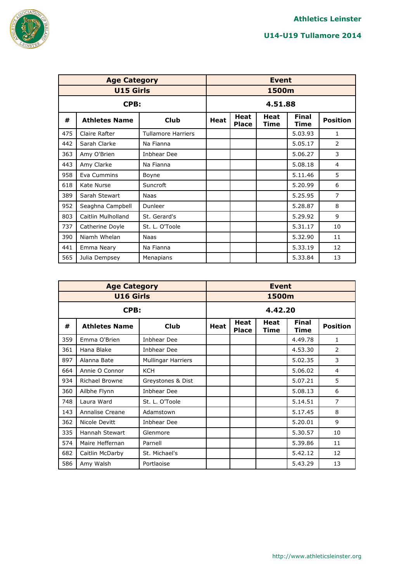



|     | <b>Age Category</b>  |                           | <b>Event</b>                |                     |                      |                 |    |  |  |
|-----|----------------------|---------------------------|-----------------------------|---------------------|----------------------|-----------------|----|--|--|
|     | <b>U15 Girls</b>     |                           | 1500m                       |                     |                      |                 |    |  |  |
|     | CPB:                 |                           |                             | 4.51.88             |                      |                 |    |  |  |
| #   | <b>Athletes Name</b> | <b>Heat</b>               | <b>Heat</b><br><b>Place</b> | Heat<br><b>Time</b> | <b>Final</b><br>Time | <b>Position</b> |    |  |  |
| 475 | Claire Rafter        | <b>Tullamore Harriers</b> |                             |                     |                      | 5.03.93         | 1  |  |  |
| 442 | Sarah Clarke         | Na Fianna                 |                             |                     |                      | 5.05.17         | 2  |  |  |
| 363 | Amy O'Brien          | Inbhear Dee               |                             |                     |                      | 5.06.27         | 3  |  |  |
| 443 | Amy Clarke           | Na Fianna                 |                             |                     |                      | 5.08.18         | 4  |  |  |
| 958 | Eva Cummins          | Boyne                     |                             |                     |                      | 5.11.46         | 5  |  |  |
| 618 | Kate Nurse           | Suncroft                  |                             |                     |                      | 5.20.99         | 6  |  |  |
| 389 | Sarah Stewart        | Naas                      |                             |                     |                      | 5.25.95         | 7  |  |  |
| 952 | Seaghna Campbell     | Dunleer                   |                             |                     |                      | 5.28.87         | 8  |  |  |
| 803 | Caitlin Mulholland   | St. Gerard's              |                             |                     |                      | 5.29.92         | 9  |  |  |
| 737 | Catherine Doyle      | St. L. O'Toole            |                             |                     |                      | 5.31.17         | 10 |  |  |
| 390 | Niamh Whelan         | <b>Naas</b>               |                             |                     |                      | 5.32.90         | 11 |  |  |
| 441 | Emma Neary           | Na Fianna                 |                             |                     |                      | 5.33.19         | 12 |  |  |
| 565 | Julia Dempsey        | Menapians                 |                             |                     |                      | 5.33.84         | 13 |  |  |

|     | <b>Age Category</b>  |                           | <b>Event</b> |                             |                     |                      |                 |  |  |
|-----|----------------------|---------------------------|--------------|-----------------------------|---------------------|----------------------|-----------------|--|--|
|     | <b>U16 Girls</b>     |                           | 1500m        |                             |                     |                      |                 |  |  |
|     | CPB:                 |                           |              | 4.42.20                     |                     |                      |                 |  |  |
| #   | <b>Athletes Name</b> | <b>Club</b>               | <b>Heat</b>  | <b>Heat</b><br><b>Place</b> | Heat<br><b>Time</b> | <b>Final</b><br>Time | <b>Position</b> |  |  |
| 359 | Emma O'Brien         | Inbhear Dee               |              |                             |                     | 4.49.78              | 1               |  |  |
| 361 | Hana Blake           | Inbhear Dee               |              |                             |                     | 4.53.30              | 2               |  |  |
| 897 | Alanna Bate          | <b>Mullingar Harriers</b> |              |                             |                     | 5.02.35              | 3               |  |  |
| 664 | Annie O Connor       | <b>KCH</b>                |              |                             |                     | 5.06.02              | 4               |  |  |
| 934 | Richael Browne       | Greystones & Dist         |              |                             |                     | 5.07.21              | 5               |  |  |
| 360 | Ailbhe Flynn         | <b>Inbhear Dee</b>        |              |                             |                     | 5.08.13              | 6               |  |  |
| 748 | Laura Ward           | St. L. O'Toole            |              |                             |                     | 5.14.51              | 7               |  |  |
| 143 | Annalise Creane      | Adamstown                 |              |                             |                     | 5.17.45              | 8               |  |  |
| 362 | Nicole Devitt        | <b>Inbhear Dee</b>        |              |                             |                     | 5.20.01              | 9               |  |  |
| 335 | Hannah Stewart       | Glenmore                  |              |                             |                     | 5.30.57              | 10              |  |  |
| 574 | Maire Heffernan      | Parnell                   |              |                             |                     | 5.39.86              | 11              |  |  |
| 682 | Caitlin McDarby      | St. Michael's             |              |                             |                     | 5.42.12              | 12              |  |  |
| 586 | Amy Walsh            | Portlaoise                |              |                             |                     | 5.43.29              | 13              |  |  |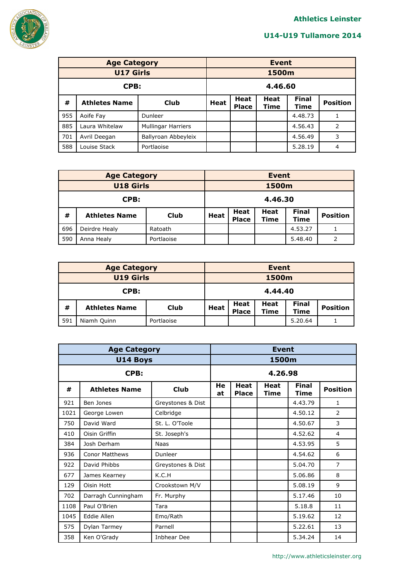

| <b>Age Category</b> |                      |                           |                                                                                                              | <b>Event</b> |       |         |   |  |  |
|---------------------|----------------------|---------------------------|--------------------------------------------------------------------------------------------------------------|--------------|-------|---------|---|--|--|
| <b>U17 Girls</b>    |                      |                           |                                                                                                              |              | 1500m |         |   |  |  |
| CPB:                |                      |                           |                                                                                                              | 4.46.60      |       |         |   |  |  |
| #                   | <b>Athletes Name</b> | Club                      | <b>Final</b><br>Heat<br><b>Heat</b><br><b>Position</b><br><b>Heat</b><br>Time<br><b>Time</b><br><b>Place</b> |              |       |         |   |  |  |
| 955                 | Aoife Fay            | Dunleer                   |                                                                                                              |              |       | 4.48.73 |   |  |  |
| 885                 | Laura Whitelaw       | <b>Mullingar Harriers</b> | 2<br>4.56.43                                                                                                 |              |       |         |   |  |  |
| 701                 | Avril Deegan         | Ballyroan Abbeyleix       | 3<br>4.56.49                                                                                                 |              |       |         |   |  |  |
| 588                 | Louise Stack         | Portlaoise                |                                                                                                              |              |       | 5.28.19 | 4 |  |  |

|                  | <b>Age Category</b>  | <b>Event</b> |                                                                                                              |  |  |         |   |  |
|------------------|----------------------|--------------|--------------------------------------------------------------------------------------------------------------|--|--|---------|---|--|
| <b>U18 Girls</b> |                      |              | 1500m                                                                                                        |  |  |         |   |  |
| CPB:             |                      |              | 4.46.30                                                                                                      |  |  |         |   |  |
| #                | <b>Athletes Name</b> | <b>Club</b>  | <b>Final</b><br>Heat<br><b>Heat</b><br><b>Position</b><br>Heat<br><b>Place</b><br><b>Time</b><br><b>Time</b> |  |  |         |   |  |
| 696              | Deirdre Healy        | Ratoath      | 4.53.27                                                                                                      |  |  |         |   |  |
| 590              | Anna Healy           | Portlaoise   |                                                                                                              |  |  | 5.48.40 | 2 |  |

| <b>Age Category</b>                      |  |  |             | <b>Event</b>         |                            |                      |                 |  |
|------------------------------------------|--|--|-------------|----------------------|----------------------------|----------------------|-----------------|--|
| <b>U19 Girls</b>                         |  |  | 1500m       |                      |                            |                      |                 |  |
| CPB:                                     |  |  |             | 4.44.40              |                            |                      |                 |  |
| #<br><b>Club</b><br><b>Athletes Name</b> |  |  | <b>Heat</b> | Heat<br><b>Place</b> | <b>Heat</b><br><b>Time</b> | <b>Final</b><br>Time | <b>Position</b> |  |
| 591<br>Niamh Quinn<br>Portlaoise         |  |  |             |                      |                            | 5.20.64              |                 |  |

|      | <b>Age Category</b>   |                   | <b>Event</b> |                      |                     |                             |                 |  |  |
|------|-----------------------|-------------------|--------------|----------------------|---------------------|-----------------------------|-----------------|--|--|
|      | U14 Boys              |                   | 1500m        |                      |                     |                             |                 |  |  |
|      | CPB:                  |                   |              | 4.26.98              |                     |                             |                 |  |  |
| #    | <b>Athletes Name</b>  | <b>Club</b>       | He<br>at     | Heat<br><b>Place</b> | <b>Heat</b><br>Time | <b>Final</b><br><b>Time</b> | <b>Position</b> |  |  |
| 921  | Ben Jones             | Greystones & Dist |              |                      |                     | 4.43.79                     | $\mathbf{1}$    |  |  |
| 1021 | George Lowen          | Celbridge         |              |                      |                     | 4.50.12                     | 2               |  |  |
| 750  | David Ward            | St. L. O'Toole    |              |                      |                     | 4.50.67                     | 3               |  |  |
| 410  | Oisin Griffin         | St. Joseph's      |              |                      |                     | 4.52.62                     | $\overline{4}$  |  |  |
| 384  | Josh Derham           | <b>Naas</b>       |              |                      |                     | 4.53.95                     | 5               |  |  |
| 936  | <b>Conor Matthews</b> | Dunleer           |              |                      |                     | 4.54.62                     | 6               |  |  |
| 922  | David Phibbs          | Greystones & Dist |              |                      |                     | 5.04.70                     | $\overline{7}$  |  |  |
| 677  | James Kearney         | K.C.H             |              |                      |                     | 5.06.86                     | 8               |  |  |
| 129  | Oisin Hott            | Crookstown M/V    |              |                      |                     | 5.08.19                     | 9               |  |  |
| 702  | Darragh Cunningham    | Fr. Murphy        |              |                      |                     | 5.17.46                     | 10              |  |  |
| 1108 | Paul O'Brien          | Tara              |              |                      |                     | 5.18.8                      | 11              |  |  |
| 1045 | Eddie Allen           | Emo/Rath          |              |                      |                     | 5.19.62                     | 12              |  |  |
| 575  | Dylan Tarmey          | Parnell           |              |                      |                     | 5.22.61                     | 13              |  |  |
| 358  | Ken O'Grady           | Inbhear Dee       |              |                      |                     | 5.34.24                     | 14              |  |  |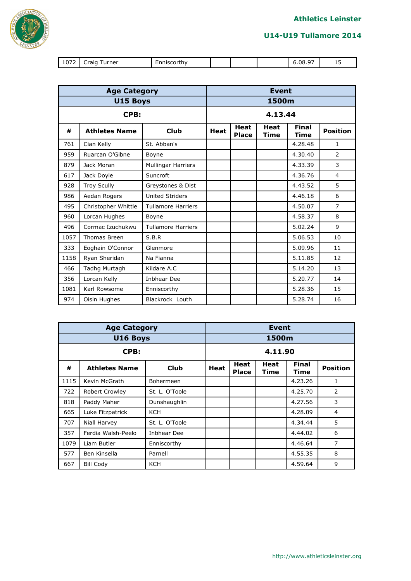



| 1072 | urner<br>$\cdots$<br>raic<br>- | . |  | $\sim$ $-$<br>08. | $\sim$<br>--<br>__ |
|------|--------------------------------|---|--|-------------------|--------------------|

|      | <b>Age Category</b>  |                           | <b>Event</b>                |              |                             |                 |                |  |  |
|------|----------------------|---------------------------|-----------------------------|--------------|-----------------------------|-----------------|----------------|--|--|
|      | U15 Boys             |                           | 1500m                       |              |                             |                 |                |  |  |
| CPB: |                      |                           |                             | 4.13.44      |                             |                 |                |  |  |
| #    | <b>Athletes Name</b> | <b>Heat</b>               | <b>Heat</b><br><b>Place</b> | Heat<br>Time | <b>Final</b><br><b>Time</b> | <b>Position</b> |                |  |  |
| 761  | Cian Kelly           | St. Abban's               |                             |              |                             | 4.28.48         | 1              |  |  |
| 959  | Ruarcan O'Gibne      | Boyne                     |                             |              |                             | 4.30.40         | $\overline{2}$ |  |  |
| 879  | Jack Moran           | Mullingar Harriers        |                             |              |                             | 4.33.39         | 3              |  |  |
| 617  | Jack Doyle           | Suncroft                  |                             |              |                             | 4.36.76         | 4              |  |  |
| 928  | <b>Troy Scully</b>   | Greystones & Dist         |                             |              |                             | 4.43.52         | 5              |  |  |
| 986  | Aedan Rogers         | <b>United Striders</b>    |                             |              |                             | 4.46.18         | 6              |  |  |
| 495  | Christopher Whittle  | <b>Tullamore Harriers</b> |                             |              |                             | 4.50.07         | $\overline{7}$ |  |  |
| 960  | Lorcan Hughes        | Boyne                     |                             |              |                             | 4.58.37         | 8              |  |  |
| 496  | Cormac Izuchukwu     | <b>Tullamore Harriers</b> |                             |              |                             | 5.02.24         | 9              |  |  |
| 1057 | Thomas Breen         | S.B.R                     |                             |              |                             | 5.06.53         | 10             |  |  |
| 333  | Eoghain O'Connor     | Glenmore                  |                             |              |                             | 5.09.96         | 11             |  |  |
| 1158 | Ryan Sheridan        | Na Fianna                 |                             |              |                             | 5.11.85         | 12             |  |  |
| 466  | Tadhg Murtagh        | Kildare A.C               |                             |              |                             | 5.14.20         | 13             |  |  |
| 356  | Lorcan Kelly         | Inbhear Dee               |                             |              |                             | 5.20.77         | 14             |  |  |
| 1081 | Karl Rowsome         | Enniscorthy               |                             |              |                             | 5.28.36         | 15             |  |  |
| 974  | Oisin Hughes         | Blackrock Louth           |                             |              |                             | 5.28.74         | 16             |  |  |

|      | <b>Age Category</b>   | <b>Event</b>   |                             |                     |                      |                 |                |  |
|------|-----------------------|----------------|-----------------------------|---------------------|----------------------|-----------------|----------------|--|
|      | U16 Boys              |                | 1500m                       |                     |                      |                 |                |  |
|      | CPB:                  |                |                             |                     | 4.11.90              |                 |                |  |
| #    | <b>Athletes Name</b>  | Heat           | <b>Heat</b><br><b>Place</b> | <b>Heat</b><br>Time | <b>Final</b><br>Time | <b>Position</b> |                |  |
| 1115 | Kevin McGrath         | Bohermeen      |                             |                     |                      | 4.23.26         | $\mathbf{1}$   |  |
| 722  | <b>Robert Crowley</b> | St. L. O'Toole |                             |                     |                      | 4.25.70         | 2              |  |
| 818  | Paddy Maher           | Dunshaughlin   |                             |                     |                      | 4.27.56         | 3              |  |
| 665  | Luke Fitzpatrick      | <b>KCH</b>     |                             |                     |                      | 4.28.09         | 4              |  |
| 707  | Niall Harvey          | St. L. O'Toole |                             |                     |                      | 4.34.44         | 5              |  |
| 357  | Ferdia Walsh-Peelo    | Inbhear Dee    |                             |                     |                      | 4.44.02         | 6              |  |
| 1079 | Liam Butler           | Enniscorthy    |                             |                     |                      | 4.46.64         | $\overline{7}$ |  |
| 577  | Ben Kinsella          | Parnell        |                             |                     |                      | 4.55.35         | 8              |  |
| 667  | <b>Bill Cody</b>      | <b>KCH</b>     |                             |                     |                      | 4.59.64         | 9              |  |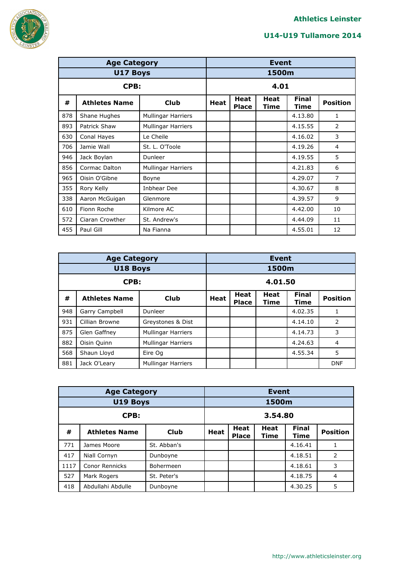

|     | <b>Age Category</b>  |                           |                             | <b>Event</b> |                      |                 |                |  |  |
|-----|----------------------|---------------------------|-----------------------------|--------------|----------------------|-----------------|----------------|--|--|
|     | U17 Boys             |                           |                             | 1500m        |                      |                 |                |  |  |
|     | CPB:                 |                           |                             |              | 4.01                 |                 |                |  |  |
| #   | <b>Athletes Name</b> | <b>Heat</b>               | <b>Heat</b><br><b>Place</b> | Heat<br>Time | <b>Final</b><br>Time | <b>Position</b> |                |  |  |
| 878 | Shane Hughes         | <b>Mullingar Harriers</b> |                             |              |                      | 4.13.80         | 1              |  |  |
| 893 | Patrick Shaw         | <b>Mullingar Harriers</b> |                             |              |                      | 4.15.55         | 2              |  |  |
| 630 | Conal Hayes          | Le Cheile                 |                             |              |                      | 4.16.02         | 3              |  |  |
| 706 | Jamie Wall           | St. L. O'Toole            |                             |              |                      | 4.19.26         | 4              |  |  |
| 946 | Jack Boylan          | Dunleer                   |                             |              |                      | 4.19.55         | 5              |  |  |
| 856 | Cormac Dalton        | <b>Mullingar Harriers</b> |                             |              |                      | 4.21.83         | 6              |  |  |
| 965 | Oisin O'Gibne        | Boyne                     |                             |              |                      | 4.29.07         | $\overline{7}$ |  |  |
| 355 | Rory Kelly           | Inbhear Dee               |                             |              |                      | 4.30.67         | 8              |  |  |
| 338 | Aaron McGuigan       | Glenmore                  |                             |              |                      | 4.39.57         | 9              |  |  |
| 610 | Fionn Roche          | Kilmore AC                |                             |              |                      | 4.42.00         | 10             |  |  |
| 572 | Ciaran Crowther      | St. Andrew's              |                             |              |                      | 4.44.09         | 11             |  |  |
| 455 | Paul Gill            | Na Fianna                 |                             |              |                      | 4.55.01         | 12             |  |  |

|      | <b>Age Category</b>  | <b>Event</b>              |                                                                                         |         |       |         |                |  |
|------|----------------------|---------------------------|-----------------------------------------------------------------------------------------|---------|-------|---------|----------------|--|
|      | U18 Boys             |                           |                                                                                         |         | 1500m |         |                |  |
| CPB: |                      |                           |                                                                                         | 4.01.50 |       |         |                |  |
| #    | <b>Athletes Name</b> | Club                      | <b>Final</b><br>Heat<br>Heat<br><b>Position</b><br>Heat<br><b>Place</b><br>Time<br>Time |         |       |         |                |  |
| 948  | Garry Campbell       | Dunleer                   |                                                                                         |         |       | 4.02.35 | 1              |  |
| 931  | Cillian Browne       | Greystones & Dist         |                                                                                         |         |       | 4.14.10 | 2              |  |
| 875  | Glen Gaffney         | <b>Mullingar Harriers</b> |                                                                                         |         |       | 4.14.73 | 3              |  |
| 882  | Oisin Quinn          | <b>Mullingar Harriers</b> |                                                                                         |         |       | 4.24.63 | $\overline{4}$ |  |
| 568  | Shaun Lloyd          | Eire Og                   | 4.55.34                                                                                 |         |       |         | 5              |  |
| 881  | Jack O'Leary         | <b>Mullingar Harriers</b> |                                                                                         |         |       |         | <b>DNF</b>     |  |

|      | <b>Age Category</b>   |             |                                                                                                       | <b>Event</b> |  |         |                |  |  |
|------|-----------------------|-------------|-------------------------------------------------------------------------------------------------------|--------------|--|---------|----------------|--|--|
|      | U19 Boys              |             | 1500m                                                                                                 |              |  |         |                |  |  |
|      | CPB:                  |             |                                                                                                       | 3.54.80      |  |         |                |  |  |
| #    | <b>Athletes Name</b>  | <b>Club</b> | <b>Final</b><br><b>Heat</b><br><b>Heat</b><br><b>Position</b><br>Heat<br><b>Place</b><br>Time<br>Time |              |  |         |                |  |  |
| 771  | James Moore           | St. Abban's |                                                                                                       |              |  | 4.16.41 |                |  |  |
| 417  | Niall Cornyn          | Dunboyne    |                                                                                                       |              |  | 4.18.51 | 2              |  |  |
| 1117 | <b>Conor Rennicks</b> | Bohermeen   |                                                                                                       |              |  | 4.18.61 | 3              |  |  |
| 527  | Mark Rogers           | St. Peter's |                                                                                                       |              |  | 4.18.75 | $\overline{4}$ |  |  |
| 418  | Abdullahi Abdulle     | Dunboyne    |                                                                                                       |              |  | 4.30.25 | 5              |  |  |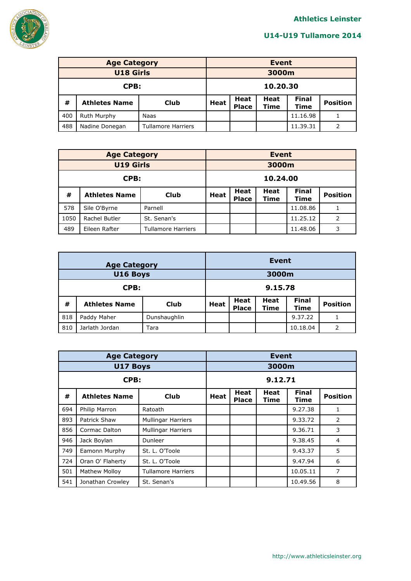

|                  | <b>Age Category</b>  | <b>Event</b>              |                                                                                                         |       |  |          |                 |  |
|------------------|----------------------|---------------------------|---------------------------------------------------------------------------------------------------------|-------|--|----------|-----------------|--|
| <b>U18 Girls</b> |                      |                           |                                                                                                         | 3000m |  |          |                 |  |
| CPB:             |                      |                           | 10.20.30                                                                                                |       |  |          |                 |  |
| #                | <b>Athletes Name</b> | <b>Club</b>               | <b>Final</b><br><b>Heat</b><br><b>Heat</b><br><b>Heat</b><br><b>Place</b><br><b>Time</b><br><b>Time</b> |       |  |          | <b>Position</b> |  |
| 400              | Ruth Murphy          | Naas                      | 11.16.98                                                                                                |       |  |          |                 |  |
| 488              | Nadine Donegan       | <b>Tullamore Harriers</b> |                                                                                                         |       |  | 11.39.31 | 2               |  |

|      | <b>Age Category</b>  | <b>Event</b>              |               |                 |  |          |   |  |  |
|------|----------------------|---------------------------|---------------|-----------------|--|----------|---|--|--|
|      | <b>U19 Girls</b>     |                           |               | 3000m           |  |          |   |  |  |
|      | CPB:                 |                           |               | 10.24.00        |  |          |   |  |  |
| #    | <b>Athletes Name</b> | Club                      | Heat          | <b>Position</b> |  |          |   |  |  |
| 578  | Sile O'Byrne         | Parnell                   |               |                 |  | 11.08.86 |   |  |  |
| 1050 | Rachel Butler        | St. Senan's               | 2<br>11.25.12 |                 |  |          |   |  |  |
| 489  | Eileen Rafter        | <b>Tullamore Harriers</b> |               |                 |  | 11.48.06 | 3 |  |  |

|     | <b>Age Category</b>  | <b>Event</b> |                                                                                                         |         |  |          |                 |  |
|-----|----------------------|--------------|---------------------------------------------------------------------------------------------------------|---------|--|----------|-----------------|--|
|     | U16 Boys             |              |                                                                                                         | 3000m   |  |          |                 |  |
|     | CPB:                 |              |                                                                                                         | 9.15.78 |  |          |                 |  |
| #   | <b>Athletes Name</b> | <b>Club</b>  | <b>Final</b><br><b>Heat</b><br><b>Heat</b><br><b>Heat</b><br><b>Place</b><br><b>Time</b><br><b>Time</b> |         |  |          | <b>Position</b> |  |
| 818 | Paddy Maher          | Dunshaughlin | 9.37.22                                                                                                 |         |  |          |                 |  |
| 810 | Jarlath Jordan       | Tara         |                                                                                                         |         |  | 10.18.04 |                 |  |

|      | <b>Age Category</b>                               | <b>Event</b>              |                                                                      |         |  |          |   |  |  |
|------|---------------------------------------------------|---------------------------|----------------------------------------------------------------------|---------|--|----------|---|--|--|
|      | <b>U17 Boys</b>                                   |                           |                                                                      | 3000m   |  |          |   |  |  |
| CPB: |                                                   |                           |                                                                      | 9.12.71 |  |          |   |  |  |
| #    | <b>Athletes Name</b>                              | <b>Club</b>               | <b>Final</b><br>Heat<br>Heat<br>Heat<br><b>Place</b><br>Time<br>Time |         |  |          |   |  |  |
| 694  | Philip Marron                                     | Ratoath                   |                                                                      |         |  | 9.27.38  | 1 |  |  |
| 893  | Patrick Shaw                                      | <b>Mullingar Harriers</b> |                                                                      |         |  | 9.33.72  | 2 |  |  |
| 856  | Cormac Dalton                                     | <b>Mullingar Harriers</b> |                                                                      |         |  | 9.36.71  | 3 |  |  |
| 946  | Jack Boylan                                       | Dunleer                   |                                                                      |         |  | 9.38.45  | 4 |  |  |
| 749  | Eamonn Murphy                                     | St. L. O'Toole            |                                                                      |         |  | 9.43.37  | 5 |  |  |
| 724  | Oran O' Flaherty                                  | St. L. O'Toole            |                                                                      |         |  | 9.47.94  | 6 |  |  |
| 501  | <b>Mathew Molloy</b><br><b>Tullamore Harriers</b> |                           |                                                                      |         |  | 10.05.11 | 7 |  |  |
| 541  | Jonathan Crowley                                  | St. Senan's               |                                                                      |         |  | 10.49.56 | 8 |  |  |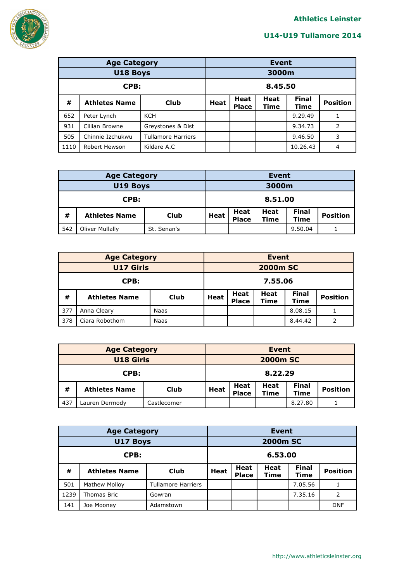

|                 | <b>Age Category</b>  | <b>Event</b>              |         |                      |                 |          |   |  |  |
|-----------------|----------------------|---------------------------|---------|----------------------|-----------------|----------|---|--|--|
| <b>U18 Boys</b> |                      |                           |         | 3000m                |                 |          |   |  |  |
| CPB:            |                      |                           | 8.45.50 |                      |                 |          |   |  |  |
| #               | <b>Athletes Name</b> | Club                      | Heat    | <b>Final</b><br>Time | <b>Position</b> |          |   |  |  |
| 652             | Peter Lynch          | <b>KCH</b>                |         |                      |                 | 9.29.49  |   |  |  |
| 931             | Cillian Browne       | Greystones & Dist         |         |                      |                 | 9.34.73  | 2 |  |  |
| 505             | Chinnie Izchukwu     | <b>Tullamore Harriers</b> | 9.46.50 |                      |                 |          | 3 |  |  |
| 1110            | Robert Hewson        | Kildare A.C               |         |                      |                 | 10.26.43 | 4 |  |  |

|                                              | <b>Age Category</b> | Event |             |                      |                     |                             |                 |
|----------------------------------------------|---------------------|-------|-------------|----------------------|---------------------|-----------------------------|-----------------|
| U19 Boys                                     |                     |       | 3000m       |                      |                     |                             |                 |
|                                              | CPB:                |       |             |                      | 8.51.00             |                             |                 |
| #<br><b>Athletes Name</b><br><b>Club</b>     |                     |       | <b>Heat</b> | Heat<br><b>Place</b> | <b>Heat</b><br>Time | <b>Final</b><br><b>Time</b> | <b>Position</b> |
| 542<br><b>Oliver Mullally</b><br>St. Senan's |                     |       |             |                      |                     | 9.50.04                     |                 |

|                  | <b>Age Category</b>  | <b>Event</b> |                                                                                                         |                 |  |         |                 |  |  |
|------------------|----------------------|--------------|---------------------------------------------------------------------------------------------------------|-----------------|--|---------|-----------------|--|--|
| <b>U17 Girls</b> |                      |              |                                                                                                         | <b>2000m SC</b> |  |         |                 |  |  |
| CPB:             |                      |              | 7.55.06                                                                                                 |                 |  |         |                 |  |  |
| #                | <b>Athletes Name</b> | <b>Club</b>  | <b>Final</b><br><b>Heat</b><br><b>Heat</b><br><b>Heat</b><br><b>Time</b><br><b>Place</b><br><b>Time</b> |                 |  |         | <b>Position</b> |  |  |
| 377              | Anna Cleary          | Naas         |                                                                                                         |                 |  | 8.08.15 |                 |  |  |
| 378              | Ciara Robothom       | Naas         |                                                                                                         |                 |  | 8.44.42 |                 |  |  |

|                                   | <b>Age Category</b> |             | Event       |                      |                     |                             |                 |  |
|-----------------------------------|---------------------|-------------|-------------|----------------------|---------------------|-----------------------------|-----------------|--|
| <b>U18 Girls</b>                  |                     |             |             | <b>2000m SC</b>      |                     |                             |                 |  |
| CPB:                              |                     |             |             |                      | 8.22.29             |                             |                 |  |
| #<br><b>Athletes Name</b><br>Club |                     |             | <b>Heat</b> | Heat<br><b>Place</b> | Heat<br><b>Time</b> | <b>Final</b><br><b>Time</b> | <b>Position</b> |  |
| 437                               | Lauren Dermody      | Castlecomer |             |                      |                     | 8.27.80                     |                 |  |

|                               | <b>Age Category</b>  | <b>Event</b>              |             |                             |                     |                      |                 |  |
|-------------------------------|----------------------|---------------------------|-------------|-----------------------------|---------------------|----------------------|-----------------|--|
| U17 Boys                      |                      |                           |             | <b>2000m SC</b>             |                     |                      |                 |  |
| CPB:                          |                      |                           | 6.53.00     |                             |                     |                      |                 |  |
| #                             | <b>Athletes Name</b> | Club                      | <b>Heat</b> | <b>Heat</b><br><b>Place</b> | <b>Heat</b><br>Time | <b>Final</b><br>Time | <b>Position</b> |  |
| 501                           | <b>Mathew Molloy</b> | <b>Tullamore Harriers</b> |             |                             |                     | 7.05.56              |                 |  |
| 1239<br>Thomas Bric<br>Gowran |                      |                           |             | 7.35.16                     | 2                   |                      |                 |  |
| 141                           | Joe Mooney           | Adamstown                 |             |                             |                     |                      | <b>DNF</b>      |  |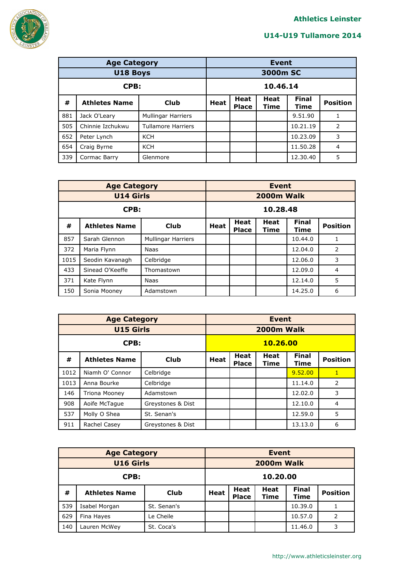

|                                  | <b>Age Category</b>  | <b>Event</b>              |          |                             |                     |                             |                 |  |
|----------------------------------|----------------------|---------------------------|----------|-----------------------------|---------------------|-----------------------------|-----------------|--|
|                                  | U18 Boys             |                           | 3000m SC |                             |                     |                             |                 |  |
| CPB:                             |                      |                           | 10.46.14 |                             |                     |                             |                 |  |
| #                                | <b>Athletes Name</b> | Club                      | Heat     | <b>Heat</b><br><b>Place</b> | <b>Heat</b><br>Time | <b>Final</b><br><b>Time</b> | <b>Position</b> |  |
| 881                              | Jack O'Leary         | <b>Mullingar Harriers</b> |          |                             |                     | 9.51.90                     |                 |  |
| 505                              | Chinnie Izchukwu     | <b>Tullamore Harriers</b> |          |                             |                     | 10.21.19                    | 2               |  |
| 652                              | Peter Lynch          | <b>KCH</b>                |          |                             |                     | 10.23.09                    | 3               |  |
| 654<br><b>KCH</b><br>Craig Byrne |                      |                           |          |                             |                     | 11.50.28                    | $\overline{4}$  |  |
| 339                              | Cormac Barry         | Glenmore                  |          |                             |                     | 12.30.40                    | 5               |  |

|                           | <b>Age Category</b>  | <b>Event</b>              |          |                      |                 |         |                |  |  |
|---------------------------|----------------------|---------------------------|----------|----------------------|-----------------|---------|----------------|--|--|
|                           | <b>U14 Girls</b>     |                           |          | 2000m Walk           |                 |         |                |  |  |
| CPB:                      |                      |                           | 10.28.48 |                      |                 |         |                |  |  |
| #                         | <b>Athletes Name</b> | Club                      | Heat     | <b>Final</b><br>Time | <b>Position</b> |         |                |  |  |
| 857                       | Sarah Glennon        | <b>Mullingar Harriers</b> |          |                      |                 | 10.44.0 |                |  |  |
| 372                       | Maria Flynn          | Naas                      |          |                      |                 | 12.04.0 | 2              |  |  |
| 1015                      | Seodin Kavanagh      | Celbridge                 |          |                      |                 | 12.06.0 | 3              |  |  |
| 433                       | Sinead O'Keeffe      | Thomastown                |          |                      |                 | 12.09.0 | $\overline{4}$ |  |  |
| 371<br>Kate Flynn<br>Naas |                      |                           |          |                      |                 | 12.14.0 | 5              |  |  |
| 150                       | Sonia Mooney         | Adamstown                 |          |                      |                 | 14.25.0 | 6              |  |  |

|      | <b>Age Category</b>  | <b>Event</b>      |          |                             |              |                      |                 |  |  |  |
|------|----------------------|-------------------|----------|-----------------------------|--------------|----------------------|-----------------|--|--|--|
|      | <b>U15 Girls</b>     |                   |          | <b>2000m Walk</b>           |              |                      |                 |  |  |  |
| CPB: |                      |                   | 10.26.00 |                             |              |                      |                 |  |  |  |
| #    | <b>Athletes Name</b> | <b>Club</b>       | Heat     | <b>Heat</b><br><b>Place</b> | Heat<br>Time | <b>Final</b><br>Time | <b>Position</b> |  |  |  |
| 1012 | Niamh O' Connor      | Celbridge         |          |                             |              | 9.52.00              | $\mathbf{1}$    |  |  |  |
| 1013 | Anna Bourke          | Celbridge         |          |                             |              | 11.14.0              | $\overline{2}$  |  |  |  |
| 146  | <b>Triona Mooney</b> | Adamstown         |          |                             |              | 12.02.0              | 3               |  |  |  |
| 908  | Aoife McTague        | Greystones & Dist |          |                             |              | 12.10.0              | $\overline{4}$  |  |  |  |
| 537  | Molly O Shea         | St. Senan's       | 12.59.0  |                             |              |                      | 5               |  |  |  |
| 911  | Rachel Casey         | Greystones & Dist |          |                             |              | 13.13.0              | 6               |  |  |  |

|                  | <b>Age Category</b>  | <b>Event</b> |             |                             |                            |                      |                 |  |
|------------------|----------------------|--------------|-------------|-----------------------------|----------------------------|----------------------|-----------------|--|
| <b>U16 Girls</b> |                      |              | 2000m Walk  |                             |                            |                      |                 |  |
| CPB:             |                      |              | 10.20.00    |                             |                            |                      |                 |  |
| #                | <b>Athletes Name</b> | <b>Club</b>  | <b>Heat</b> | <b>Heat</b><br><b>Place</b> | <b>Heat</b><br><b>Time</b> | <b>Final</b><br>Time | <b>Position</b> |  |
| 539              | Isabel Morgan        | St. Senan's  |             |                             |                            | 10.39.0              |                 |  |
| 629              | Fina Hayes           | Le Cheile    |             |                             |                            | 10.57.0              | $\mathcal{P}$   |  |
| 140              | Lauren McWey         | St. Coca's   |             |                             |                            | 11.46.0              | 3               |  |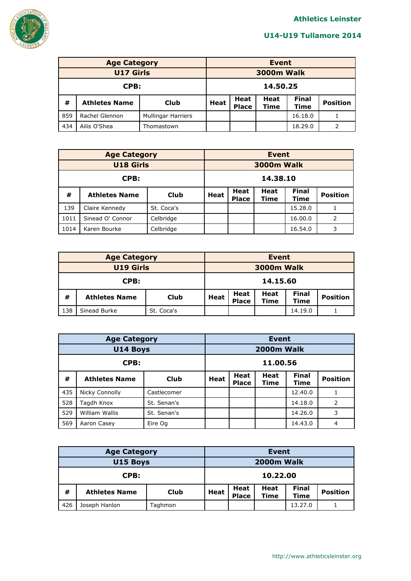

|                                                    | <b>Age Category</b>  | <b>Event</b> |                                                                                                         |  |  |         |                 |
|----------------------------------------------------|----------------------|--------------|---------------------------------------------------------------------------------------------------------|--|--|---------|-----------------|
| <b>U17 Girls</b>                                   |                      |              | <b>3000m Walk</b>                                                                                       |  |  |         |                 |
| CPB:                                               |                      |              | 14.50.25                                                                                                |  |  |         |                 |
| #                                                  | <b>Athletes Name</b> | Club         | <b>Final</b><br><b>Heat</b><br><b>Heat</b><br><b>Heat</b><br><b>Place</b><br><b>Time</b><br><b>Time</b> |  |  |         | <b>Position</b> |
| 859<br>Rachel Glennon<br><b>Mullingar Harriers</b> |                      |              |                                                                                                         |  |  | 16.18.0 |                 |
| 434                                                | Ailis O'Shea         | Thomastown   |                                                                                                         |  |  | 18.29.0 | 2               |

|                  | <b>Age Category</b>  |            | <b>Event</b>      |                             |                     |                      |                 |  |
|------------------|----------------------|------------|-------------------|-----------------------------|---------------------|----------------------|-----------------|--|
| <b>U18 Girls</b> |                      |            | <b>3000m Walk</b> |                             |                     |                      |                 |  |
| CPB:             |                      |            | 14.38.10          |                             |                     |                      |                 |  |
| #                | <b>Athletes Name</b> | Club       | <b>Heat</b>       | <b>Heat</b><br><b>Place</b> | <b>Heat</b><br>Time | <b>Final</b><br>Time | <b>Position</b> |  |
| 139              | Claire Kennedy       | St. Coca's |                   |                             |                     | 15.28.0              |                 |  |
| 1011             | Sinead O' Connor     | Celbridge  |                   |                             |                     | 16.00.0              | 2               |  |
| 1014             | Karen Bourke         | Celbridge  |                   |                             |                     | 16.54.0              | 3               |  |

|                                   | <b>Age Category</b>  | Event |                                                                                           |          |  |         |                 |  |
|-----------------------------------|----------------------|-------|-------------------------------------------------------------------------------------------|----------|--|---------|-----------------|--|
| <b>U19 Girls</b>                  |                      |       | 3000m Walk                                                                                |          |  |         |                 |  |
| CPB:                              |                      |       |                                                                                           | 14.15.60 |  |         |                 |  |
| #                                 | <b>Athletes Name</b> | Club  | <b>Final</b><br>Heat<br>Heat<br><b>Heat</b><br><b>Place</b><br><b>Time</b><br><b>Time</b> |          |  |         | <b>Position</b> |  |
| 138<br>Sinead Burke<br>St. Coca's |                      |       |                                                                                           |          |  | 14.19.0 |                 |  |

|          | <b>Age Category</b>  | <b>Event</b> |      |                             |                     |                      |                 |  |  |  |
|----------|----------------------|--------------|------|-----------------------------|---------------------|----------------------|-----------------|--|--|--|
| U14 Boys |                      |              |      | 2000m Walk                  |                     |                      |                 |  |  |  |
| CPB:     |                      |              |      | 11.00.56                    |                     |                      |                 |  |  |  |
| #        | <b>Athletes Name</b> | <b>Club</b>  | Heat | <b>Heat</b><br><b>Place</b> | <b>Heat</b><br>Time | <b>Final</b><br>Time | <b>Position</b> |  |  |  |
| 435      | Nicky Connolly       | Castlecomer  |      |                             |                     | 12.40.0              |                 |  |  |  |
| 528      | Tagdh Knox           | St. Senan's  |      |                             |                     | 14.18.0              | 2               |  |  |  |
| 529      | William Wallis       | St. Senan's  |      |                             |                     | 14.26.0              | 3               |  |  |  |
| 569      | Aaron Casey          | Eire Og      |      |                             |                     | 14.43.0              | 4               |  |  |  |

|          | <b>Age Category</b>  | <b>Event</b> |                                                                                                       |          |  |         |  |  |
|----------|----------------------|--------------|-------------------------------------------------------------------------------------------------------|----------|--|---------|--|--|
| U15 Boys |                      |              | 2000m Walk                                                                                            |          |  |         |  |  |
| CPB:     |                      |              |                                                                                                       | 10.22.00 |  |         |  |  |
| #        | <b>Athletes Name</b> | Club         | <b>Final</b><br>Heat<br>Heat<br><b>Heat</b><br><b>Position</b><br>Time<br><b>Place</b><br><b>Time</b> |          |  |         |  |  |
| 426      | Joseph Hanlon        | Taghmon      |                                                                                                       |          |  | 13.27.0 |  |  |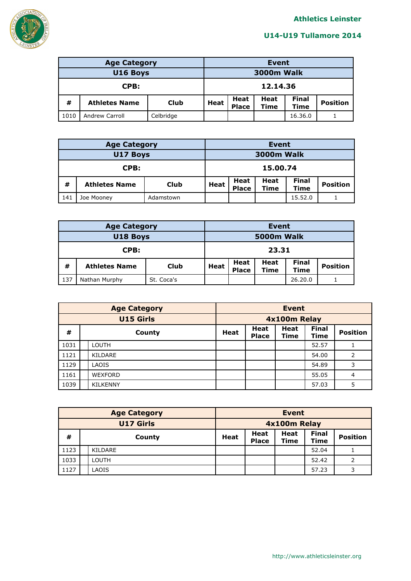

|          | <b>Age Category</b>  | <b>Event</b> |                                                                                                       |          |  |         |  |  |
|----------|----------------------|--------------|-------------------------------------------------------------------------------------------------------|----------|--|---------|--|--|
| U16 Boys |                      |              | <b>3000m Walk</b>                                                                                     |          |  |         |  |  |
| CPB:     |                      |              |                                                                                                       | 12.14.36 |  |         |  |  |
| #        | <b>Athletes Name</b> | Club         | <b>Final</b><br><b>Heat</b><br>Heat<br><b>Position</b><br>Heat<br><b>Place</b><br>Time<br><b>Time</b> |          |  |         |  |  |
| 1010     | Andrew Carroll       | Celbridge    |                                                                                                       |          |  | 16.36.0 |  |  |

|          | <b>Age Category</b>  |           |                                                                                                  | <b>Event</b> |  |         |                 |  |  |
|----------|----------------------|-----------|--------------------------------------------------------------------------------------------------|--------------|--|---------|-----------------|--|--|
| U17 Boys |                      |           | <b>3000m Walk</b>                                                                                |              |  |         |                 |  |  |
| CPB:     |                      |           |                                                                                                  | 15.00.74     |  |         |                 |  |  |
| #        | <b>Athletes Name</b> | Club      | <b>Final</b><br><b>Heat</b><br>Heat<br><b>Heat</b><br><b>Place</b><br><b>Time</b><br><b>Time</b> |              |  |         | <b>Position</b> |  |  |
| 141      | Joe Mooney           | Adamstown |                                                                                                  |              |  | 15.52.0 |                 |  |  |

|          | <b>Age Category</b>  | <b>Event</b> |                                                                                                                     |       |  |         |  |  |
|----------|----------------------|--------------|---------------------------------------------------------------------------------------------------------------------|-------|--|---------|--|--|
| U18 Boys |                      |              | 5000m Walk                                                                                                          |       |  |         |  |  |
| CPB:     |                      |              |                                                                                                                     | 23.31 |  |         |  |  |
| #        | <b>Athletes Name</b> | Club         | <b>Final</b><br><b>Heat</b><br>Heat<br><b>Heat</b><br><b>Position</b><br><b>Place</b><br><b>Time</b><br><b>Time</b> |       |  |         |  |  |
| 137      | Nathan Murphy        | St. Coca's   |                                                                                                                     |       |  | 26.20.0 |  |  |

|                  | <b>Age Category</b> | <b>Event</b>                                                                                                               |              |  |       |   |  |  |
|------------------|---------------------|----------------------------------------------------------------------------------------------------------------------------|--------------|--|-------|---|--|--|
| <b>U15 Girls</b> |                     |                                                                                                                            | 4x100m Relay |  |       |   |  |  |
| #                | County              | <b>Final</b><br><b>Heat</b><br><b>Heat</b><br><b>Position</b><br><b>Heat</b><br><b>Place</b><br><b>Time</b><br><b>Time</b> |              |  |       |   |  |  |
| 1031             | <b>LOUTH</b>        |                                                                                                                            |              |  | 52.57 |   |  |  |
| 1121             | KILDARE             |                                                                                                                            |              |  | 54.00 | 2 |  |  |
| 1129             | LAOIS               |                                                                                                                            |              |  | 54.89 | 3 |  |  |
| 1161             | <b>WEXFORD</b>      |                                                                                                                            |              |  | 55.05 | 4 |  |  |
| 1039             | <b>KILKENNY</b>     |                                                                                                                            |              |  | 57.03 | 5 |  |  |

|                  | <b>Age Category</b> | Event       |                      |                     |                      |                 |  |  |
|------------------|---------------------|-------------|----------------------|---------------------|----------------------|-----------------|--|--|
| <b>U17 Girls</b> |                     |             | 4x100m Relay         |                     |                      |                 |  |  |
| #                | County              | <b>Heat</b> | Heat<br><b>Place</b> | <b>Heat</b><br>Time | <b>Final</b><br>Time | <b>Position</b> |  |  |
| 1123             | KILDARE             |             |                      |                     | 52.04                |                 |  |  |
| 1033             | <b>LOUTH</b>        |             |                      |                     | 52.42                | 2               |  |  |
| 1127             | <b>AOIS</b>         |             |                      |                     | 57.23                | ิว              |  |  |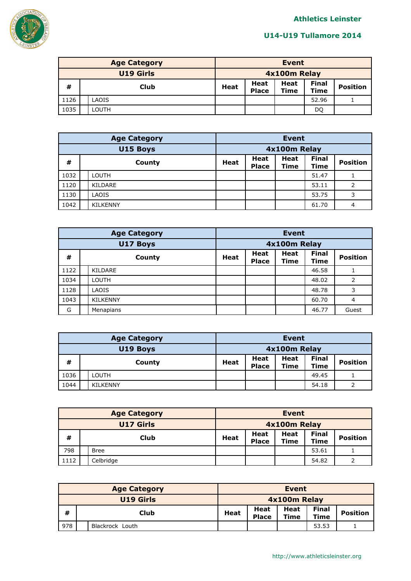

| <b>Age Category</b> |       |  | <b>Event</b> |                      |                     |                             |                 |  |
|---------------------|-------|--|--------------|----------------------|---------------------|-----------------------------|-----------------|--|
| <b>U19 Girls</b>    |       |  | 4x100m Relay |                      |                     |                             |                 |  |
| #                   | Club  |  | Heat         | Heat<br><b>Place</b> | Heat<br><b>Time</b> | <b>Final</b><br><b>Time</b> | <b>Position</b> |  |
| 1126                | LAOIS |  |              |                      |                     | 52.96                       |                 |  |
| 1035                | LOUTH |  |              |                      |                     | DQ                          |                 |  |

|          | <b>Age Category</b> | <b>Event</b> |                             |                            |                      |                 |  |  |
|----------|---------------------|--------------|-----------------------------|----------------------------|----------------------|-----------------|--|--|
| U15 Boys |                     |              | 4x100m Relay                |                            |                      |                 |  |  |
| #        | County              | <b>Heat</b>  | <b>Heat</b><br><b>Place</b> | <b>Heat</b><br><b>Time</b> | <b>Final</b><br>Time | <b>Position</b> |  |  |
| 1032     | LOUTH               |              |                             |                            | 51.47                |                 |  |  |
| 1120     | KILDARE             |              |                             |                            | 53.11                | 2               |  |  |
| 1130     | LAOIS               |              |                             |                            | 53.75                | 3               |  |  |
| 1042     | <b>KILKENNY</b>     |              |                             |                            | 61.70                | 4               |  |  |

|      | <b>Age Category</b> |                 |              | <b>Event</b>                |                            |                      |                 |  |  |
|------|---------------------|-----------------|--------------|-----------------------------|----------------------------|----------------------|-----------------|--|--|
|      |                     | U17 Boys        | 4x100m Relay |                             |                            |                      |                 |  |  |
| #    |                     | County          | <b>Heat</b>  | <b>Heat</b><br><b>Place</b> | <b>Heat</b><br><b>Time</b> | <b>Final</b><br>Time | <b>Position</b> |  |  |
| 1122 |                     | <b>KILDARE</b>  |              |                             |                            | 46.58                |                 |  |  |
| 1034 |                     | <b>LOUTH</b>    |              |                             |                            | 48.02                | 2               |  |  |
| 1128 |                     | LAOIS           |              |                             |                            | 48.78                | 3               |  |  |
| 1043 |                     | <b>KILKENNY</b> |              |                             |                            | 60.70                | $\overline{4}$  |  |  |
| G    |                     | Menapians       |              |                             |                            | 46.77                | Guest           |  |  |

| <b>Age Category</b> |                 |              | Event                |                     |                      |                 |  |  |
|---------------------|-----------------|--------------|----------------------|---------------------|----------------------|-----------------|--|--|
| U19 Boys            |                 | 4x100m Relay |                      |                     |                      |                 |  |  |
| #                   | County          | Heat         | Heat<br><b>Place</b> | Heat<br><b>Time</b> | <b>Final</b><br>Time | <b>Position</b> |  |  |
| 1036                | LOUTH           |              |                      |                     | 49.45                |                 |  |  |
| 1044                | <b>KILKENNY</b> |              |                      |                     | 54.18                | ำ               |  |  |

| <b>Age Category</b> |  |              | <b>Event</b> |                      |                     |                             |                 |
|---------------------|--|--------------|--------------|----------------------|---------------------|-----------------------------|-----------------|
| <b>U17 Girls</b>    |  | 4x100m Relay |              |                      |                     |                             |                 |
| #                   |  | Club         | Heat         | Heat<br><b>Place</b> | Heat<br><b>Time</b> | <b>Final</b><br><b>Time</b> | <b>Position</b> |
| 798                 |  | Bree         |              |                      |                     | 53.61                       |                 |
| 1112                |  | Celbridge    |              |                      |                     | 54.82                       |                 |

| <b>Age Category</b> |  |                  | Event        |                      |                     |                             |                 |
|---------------------|--|------------------|--------------|----------------------|---------------------|-----------------------------|-----------------|
|                     |  | <b>U19 Girls</b> | 4x100m Relay |                      |                     |                             |                 |
| #                   |  | Club             | <b>Heat</b>  | Heat<br><b>Place</b> | Heat<br><b>Time</b> | <b>Final</b><br><b>Time</b> | <b>Position</b> |
| 978                 |  | Blackrock Louth  |              |                      |                     | 53.53                       |                 |